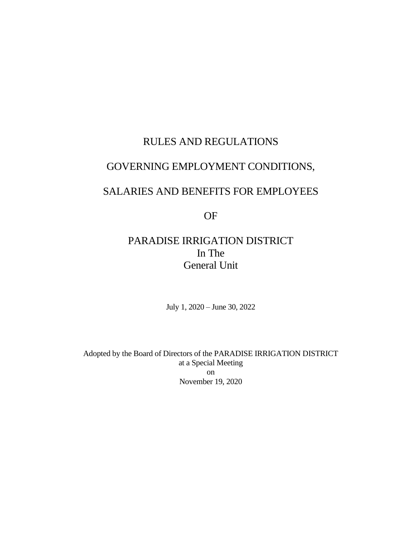# RULES AND REGULATIONS

# GOVERNING EMPLOYMENT CONDITIONS,

# SALARIES AND BENEFITS FOR EMPLOYEES

OF

# PARADISE IRRIGATION DISTRICT In The General Unit

July 1, 2020 – June 30, 2022

Adopted by the Board of Directors of the PARADISE IRRIGATION DISTRICT at a Special Meeting on November 19, 2020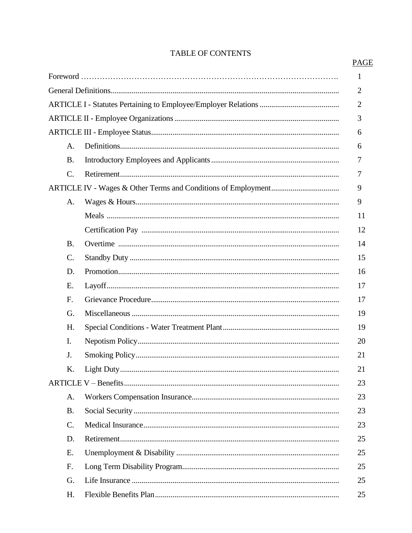|                 | 1              |
|-----------------|----------------|
|                 | $\overline{2}$ |
|                 | $\overline{2}$ |
|                 | 3              |
|                 | 6              |
| A.              | 6              |
| <b>B.</b>       | 7              |
| $\mathcal{C}$ . | 7              |
|                 | 9              |
| A.              | 9              |
|                 | 11             |
|                 | 12             |
| <b>B.</b>       | 14             |
| C.              | 15             |
| D.              | 16             |
| Е.              | 17             |
| F.              | 17             |
| G.              | 19             |
| Н.              | 19             |
| I.              | 20             |
| J.              | 21             |
| K.              | 21             |
|                 | 23             |
| A.              | 23             |
| <b>B.</b>       | 23             |
| $\mathbf{C}$ .  | 23             |
| D.              | 25             |
| Е.              | 25             |
| F.              | 25             |
| G.              | 25             |
| H.              | 25             |

# TABLE OF CONTENTS

PAGE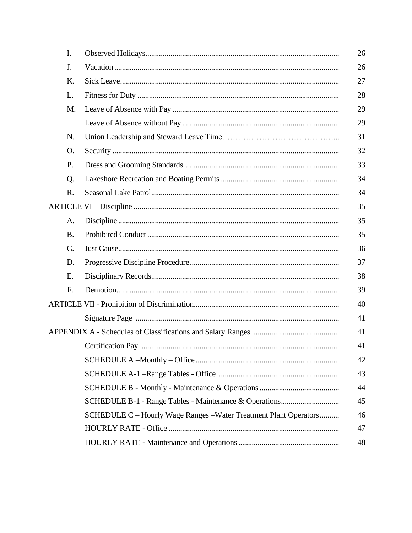| I.              |                                                                   | 26 |
|-----------------|-------------------------------------------------------------------|----|
| J.              |                                                                   | 26 |
| K.              |                                                                   | 27 |
| L.              |                                                                   | 28 |
| M.              |                                                                   | 29 |
|                 |                                                                   | 29 |
| N.              |                                                                   | 31 |
| O.              |                                                                   | 32 |
| P.              |                                                                   | 33 |
| Q.              |                                                                   | 34 |
| R.              |                                                                   | 34 |
|                 |                                                                   | 35 |
| A.              |                                                                   | 35 |
| <b>B.</b>       |                                                                   | 35 |
| $\mathcal{C}$ . |                                                                   | 36 |
| D.              |                                                                   | 37 |
| Ε.              |                                                                   | 38 |
| F.              |                                                                   | 39 |
|                 |                                                                   | 40 |
|                 |                                                                   | 41 |
|                 |                                                                   | 41 |
|                 |                                                                   | 41 |
|                 |                                                                   | 42 |
|                 |                                                                   | 43 |
|                 |                                                                   | 44 |
|                 |                                                                   | 45 |
|                 | SCHEDULE C - Hourly Wage Ranges - Water Treatment Plant Operators | 46 |
|                 |                                                                   | 47 |
|                 |                                                                   | 48 |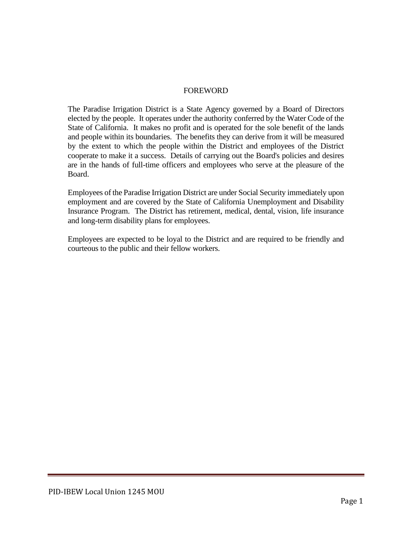#### FOREWORD

The Paradise Irrigation District is a State Agency governed by a Board of Directors elected by the people. It operates under the authority conferred by the Water Code of the State of California. It makes no profit and is operated for the sole benefit of the lands and people within its boundaries. The benefits they can derive from it will be measured by the extent to which the people within the District and employees of the District cooperate to make it a success. Details of carrying out the Board's policies and desires are in the hands of full-time officers and employees who serve at the pleasure of the Board.

Employees of the Paradise Irrigation District are under Social Security immediately upon employment and are covered by the State of California Unemployment and Disability Insurance Program. The District has retirement, medical, dental, vision, life insurance and long-term disability plans for employees.

Employees are expected to be loyal to the District and are required to be friendly and courteous to the public and their fellow workers.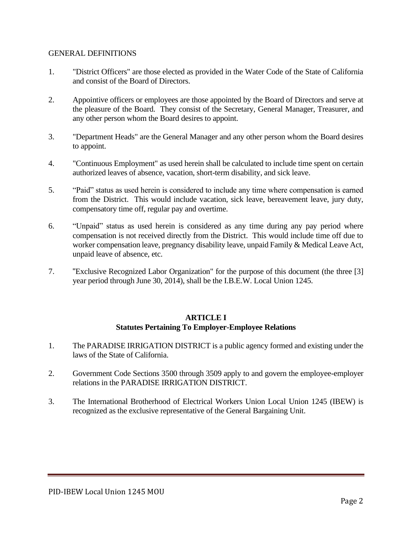#### GENERAL DEFINITIONS

- 1. "District Officers" are those elected as provided in the Water Code of the State of California and consist of the Board of Directors.
- 2. Appointive officers or employees are those appointed by the Board of Directors and serve at the pleasure of the Board. They consist of the Secretary, General Manager, Treasurer, and any other person whom the Board desires to appoint.
- 3. "Department Heads" are the General Manager and any other person whom the Board desires to appoint.
- 4. "Continuous Employment" as used herein shall be calculated to include time spent on certain authorized leaves of absence, vacation, short-term disability, and sick leave.
- 5. "Paid" status as used herein is considered to include any time where compensation is earned from the District. This would include vacation, sick leave, bereavement leave, jury duty, compensatory time off, regular pay and overtime.
- 6. "Unpaid" status as used herein is considered as any time during any pay period where compensation is not received directly from the District. This would include time off due to worker compensation leave, pregnancy disability leave, unpaid Family & Medical Leave Act, unpaid leave of absence, etc.
- 7. "Exclusive Recognized Labor Organization" for the purpose of this document (the three [3] year period through June 30, 2014), shall be the I.B.E.W. Local Union 1245.

#### **ARTICLE I Statutes Pertaining To Employer-Employee Relations**

- 1. The PARADISE IRRIGATION DISTRICT is a public agency formed and existing under the laws of the State of California.
- 2. Government Code Sections 3500 through 3509 apply to and govern the employee-employer relations in the PARADISE IRRIGATION DISTRICT.
- 3. The International Brotherhood of Electrical Workers Union Local Union 1245 (IBEW) is recognized as the exclusive representative of the General Bargaining Unit.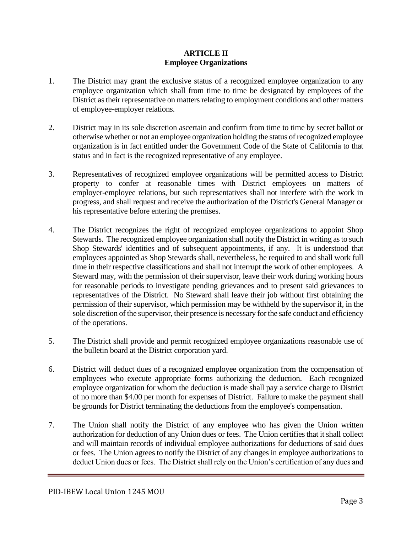#### **ARTICLE II Employee Organizations**

- 1. The District may grant the exclusive status of a recognized employee organization to any employee organization which shall from time to time be designated by employees of the District as their representative on matters relating to employment conditions and other matters of employee-employer relations.
- 2. District may in its sole discretion ascertain and confirm from time to time by secret ballot or otherwise whether or not an employee organization holding the status of recognized employee organization is in fact entitled under the Government Code of the State of California to that status and in fact is the recognized representative of any employee.
- 3. Representatives of recognized employee organizations will be permitted access to District property to confer at reasonable times with District employees on matters of employer-employee relations, but such representatives shall not interfere with the work in progress, and shall request and receive the authorization of the District's General Manager or his representative before entering the premises.
- 4. The District recognizes the right of recognized employee organizations to appoint Shop Stewards. The recognized employee organization shall notify the District in writing as to such Shop Stewards' identities and of subsequent appointments, if any. It is understood that employees appointed as Shop Stewards shall, nevertheless, be required to and shall work full time in their respective classifications and shall not interrupt the work of other employees. A Steward may, with the permission of their supervisor, leave their work during working hours for reasonable periods to investigate pending grievances and to present said grievances to representatives of the District. No Steward shall leave their job without first obtaining the permission of their supervisor, which permission may be withheld by the supervisor if, in the sole discretion of the supervisor, their presence is necessary for the safe conduct and efficiency of the operations.
- 5. The District shall provide and permit recognized employee organizations reasonable use of the bulletin board at the District corporation yard.
- 6. District will deduct dues of a recognized employee organization from the compensation of employees who execute appropriate forms authorizing the deduction. Each recognized employee organization for whom the deduction is made shall pay a service charge to District of no more than \$4.00 per month for expenses of District. Failure to make the payment shall be grounds for District terminating the deductions from the employee's compensation.
- 7. The Union shall notify the District of any employee who has given the Union written authorization for deduction of any Union dues or fees. The Union certifies that it shall collect and will maintain records of individual employee authorizations for deductions of said dues or fees. The Union agrees to notify the District of any changes in employee authorizations to deduct Union dues or fees. The District shall rely on the Union's certification of any dues and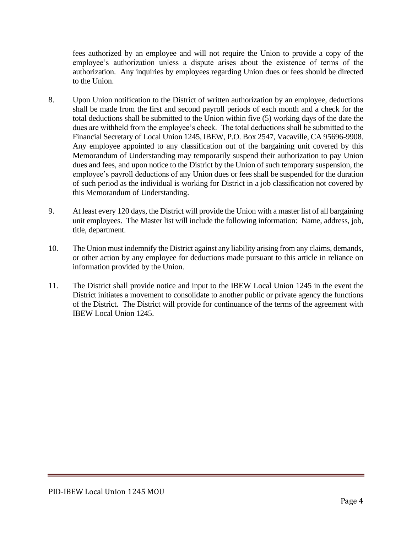fees authorized by an employee and will not require the Union to provide a copy of the employee's authorization unless a dispute arises about the existence of terms of the authorization. Any inquiries by employees regarding Union dues or fees should be directed to the Union.

- 8. Upon Union notification to the District of written authorization by an employee, deductions shall be made from the first and second payroll periods of each month and a check for the total deductions shall be submitted to the Union within five (5) working days of the date the dues are withheld from the employee's check. The total deductions shall be submitted to the Financial Secretary of Local Union 1245, IBEW, P.O. Box 2547, Vacaville, CA 95696-9908. Any employee appointed to any classification out of the bargaining unit covered by this Memorandum of Understanding may temporarily suspend their authorization to pay Union dues and fees, and upon notice to the District by the Union of such temporary suspension, the employee's payroll deductions of any Union dues or fees shall be suspended for the duration of such period as the individual is working for District in a job classification not covered by this Memorandum of Understanding.
- 9. At least every 120 days, the District will provide the Union with a master list of all bargaining unit employees. The Master list will include the following information: Name, address, job, title, department.
- 10. The Union must indemnify the District against any liability arising from any claims, demands, or other action by any employee for deductions made pursuant to this article in reliance on information provided by the Union.
- 11. The District shall provide notice and input to the IBEW Local Union 1245 in the event the District initiates a movement to consolidate to another public or private agency the functions of the District. The District will provide for continuance of the terms of the agreement with IBEW Local Union 1245.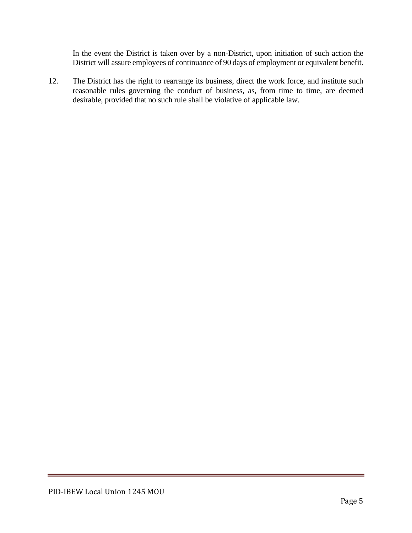In the event the District is taken over by a non-District, upon initiation of such action the District will assure employees of continuance of 90 days of employment or equivalent benefit.

12. The District has the right to rearrange its business, direct the work force, and institute such reasonable rules governing the conduct of business, as, from time to time, are deemed desirable, provided that no such rule shall be violative of applicable law.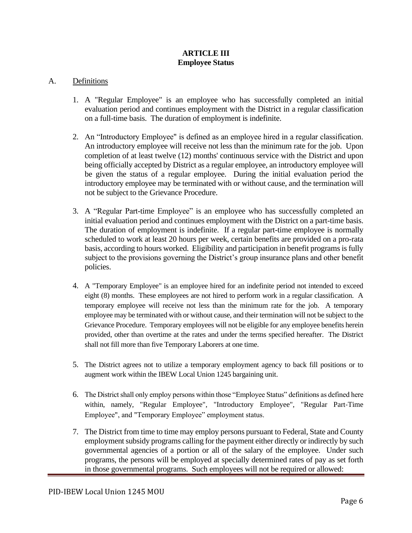#### **ARTICLE III Employee Status**

#### A. Definitions

- 1. A "Regular Employee" is an employee who has successfully completed an initial evaluation period and continues employment with the District in a regular classification on a full-time basis. The duration of employment is indefinite.
- 2. An "Introductory Employee" is defined as an employee hired in a regular classification. An introductory employee will receive not less than the minimum rate for the job. Upon completion of at least twelve (12) months' continuous service with the District and upon being officially accepted by District as a regular employee, an introductory employee will be given the status of a regular employee. During the initial evaluation period the introductory employee may be terminated with or without cause, and the termination will not be subject to the Grievance Procedure.
- 3. A "Regular Part-time Employee" is an employee who has successfully completed an initial evaluation period and continues employment with the District on a part-time basis. The duration of employment is indefinite. If a regular part-time employee is normally scheduled to work at least 20 hours per week, certain benefits are provided on a pro-rata basis, according to hours worked. Eligibility and participation in benefit programs is fully subject to the provisions governing the District's group insurance plans and other benefit policies.
- 4. A "Temporary Employee" is an employee hired for an indefinite period not intended to exceed eight (8) months. These employees are not hired to perform work in a regular classification. A temporary employee will receive not less than the minimum rate for the job. A temporary employee may be terminated with or without cause, and their termination will not be subject to the Grievance Procedure. Temporary employees will not be eligible for any employee benefits herein provided, other than overtime at the rates and under the terms specified hereafter. The District shall not fill more than five Temporary Laborers at one time.
- 5. The District agrees not to utilize a temporary employment agency to back fill positions or to augment work within the IBEW Local Union 1245 bargaining unit.
- 6. The District shall only employ persons within those "Employee Status" definitions as defined here within, namely, "Regular Employee", "Introductory Employee", "Regular Part-Time Employee", and "Temporary Employee" employment status.
- 7. The District from time to time may employ persons pursuant to Federal, State and County employment subsidy programs calling for the payment either directly or indirectly by such governmental agencies of a portion or all of the salary of the employee. Under such programs, the persons will be employed at specially determined rates of pay as set forth in those governmental programs. Such employees will not be required or allowed: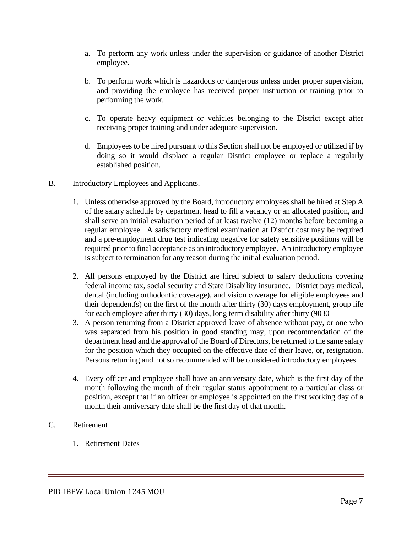- a. To perform any work unless under the supervision or guidance of another District employee.
- b. To perform work which is hazardous or dangerous unless under proper supervision, and providing the employee has received proper instruction or training prior to performing the work.
- c. To operate heavy equipment or vehicles belonging to the District except after receiving proper training and under adequate supervision.
- d. Employees to be hired pursuant to this Section shall not be employed or utilized if by doing so it would displace a regular District employee or replace a regularly established position.

#### B. Introductory Employees and Applicants.

- 1. Unless otherwise approved by the Board, introductory employees shall be hired at Step A of the salary schedule by department head to fill a vacancy or an allocated position, and shall serve an initial evaluation period of at least twelve (12) months before becoming a regular employee. A satisfactory medical examination at District cost may be required and a pre-employment drug test indicating negative for safety sensitive positions will be required prior to final acceptance as an introductory employee. An introductory employee is subject to termination for any reason during the initial evaluation period.
- 2. All persons employed by the District are hired subject to salary deductions covering federal income tax, social security and State Disability insurance. District pays medical, dental (including orthodontic coverage), and vision coverage for eligible employees and their dependent(s) on the first of the month after thirty (30) days employment, group life for each employee after thirty (30) days, long term disability after thirty (9030
- 3. A person returning from a District approved leave of absence without pay, or one who was separated from his position in good standing may, upon recommendation of the department head and the approval of the Board of Directors, be returned to the same salary for the position which they occupied on the effective date of their leave, or, resignation. Persons returning and not so recommended will be considered introductory employees.
- 4. Every officer and employee shall have an anniversary date, which is the first day of the month following the month of their regular status appointment to a particular class or position, except that if an officer or employee is appointed on the first working day of a month their anniversary date shall be the first day of that month.

## C. Retirement

1. Retirement Dates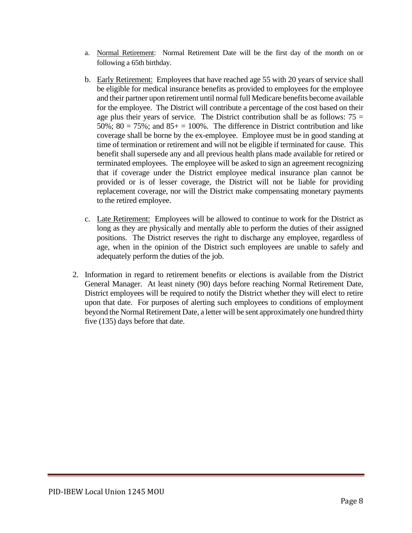- a. Normal Retirement: Normal Retirement Date will be the first day of the month on or following a 65th birthday.
- b. Early Retirement: Employees that have reached age 55 with 20 years of service shall be eligible for medical insurance benefits as provided to employees for the employee and their partner upon retirement until normal full Medicare benefits become available for the employee. The District will contribute a percentage of the cost based on their age plus their years of service. The District contribution shall be as follows:  $75 =$ 50%;  $80 = 75\%$ ; and  $85 + 100\%$ . The difference in District contribution and like coverage shall be borne by the ex-employee. Employee must be in good standing at time of termination or retirement and will not be eligible if terminated for cause. This benefit shall supersede any and all previous health plans made available for retired or terminated employees. The employee will be asked to sign an agreement recognizing that if coverage under the District employee medical insurance plan cannot be provided or is of lesser coverage, the District will not be liable for providing replacement coverage, nor will the District make compensating monetary payments to the retired employee.
- c. Late Retirement: Employees will be allowed to continue to work for the District as long as they are physically and mentally able to perform the duties of their assigned positions. The District reserves the right to discharge any employee, regardless of age, when in the opinion of the District such employees are unable to safely and adequately perform the duties of the job.
- 2. Information in regard to retirement benefits or elections is available from the District General Manager. At least ninety (90) days before reaching Normal Retirement Date, District employees will be required to notify the District whether they will elect to retire upon that date. For purposes of alerting such employees to conditions of employment beyond the Normal Retirement Date, a letter will be sent approximately one hundred thirty five (135) days before that date.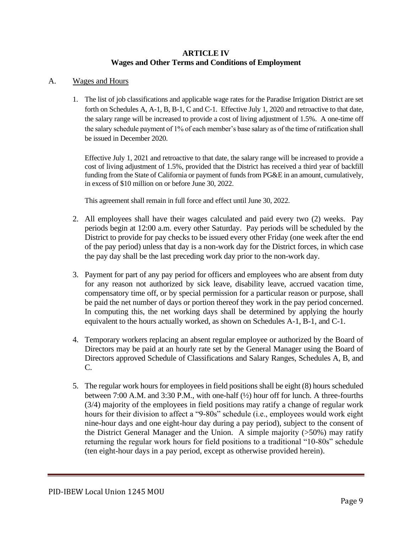#### **ARTICLE IV Wages and Other Terms and Conditions of Employment**

#### A. Wages and Hours

1. The list of job classifications and applicable wage rates for the Paradise Irrigation District are set forth on Schedules A, A-1, B, B-1, C and C-1. Effective July 1, 2020 and retroactive to that date, the salary range will be increased to provide a cost of living adjustment of 1.5%. A one-time off the salary schedule payment of 1% of each member's base salary as of the time of ratification shall be issued in December 2020.

Effective July 1, 2021 and retroactive to that date, the salary range will be increased to provide a cost of living adjustment of 1.5%, provided that the District has received a third year of backfill funding from the State of California or payment of funds from PG&E in an amount, cumulatively, in excess of \$10 million on or before June 30, 2022.

This agreement shall remain in full force and effect until June 30, 2022.

- 2. All employees shall have their wages calculated and paid every two (2) weeks. Pay periods begin at 12:00 a.m. every other Saturday. Pay periods will be scheduled by the District to provide for pay checks to be issued every other Friday (one week after the end of the pay period) unless that day is a non-work day for the District forces, in which case the pay day shall be the last preceding work day prior to the non-work day.
- 3. Payment for part of any pay period for officers and employees who are absent from duty for any reason not authorized by sick leave, disability leave, accrued vacation time, compensatory time off, or by special permission for a particular reason or purpose, shall be paid the net number of days or portion thereof they work in the pay period concerned. In computing this, the net working days shall be determined by applying the hourly equivalent to the hours actually worked, as shown on Schedules A-1, B-1, and C-1.
- 4. Temporary workers replacing an absent regular employee or authorized by the Board of Directors may be paid at an hourly rate set by the General Manager using the Board of Directors approved Schedule of Classifications and Salary Ranges, Schedules A, B, and C.
- 5. The regular work hours for employees in field positions shall be eight (8) hours scheduled between 7:00 A.M. and 3:30 P.M., with one-half (½) hour off for lunch. A three-fourths (3/4) majority of the employees in field positions may ratify a change of regular work hours for their division to affect a "9-80s" schedule (i.e., employees would work eight nine-hour days and one eight-hour day during a pay period), subject to the consent of the District General Manager and the Union. A simple majority (>50%) may ratify returning the regular work hours for field positions to a traditional "10-80s" schedule (ten eight-hour days in a pay period, except as otherwise provided herein).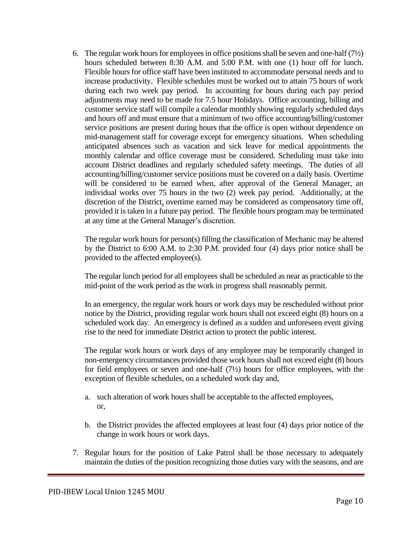6. The regular work hours for employees in office positions shall be seven and one-half  $(7/2)$ hours scheduled between 8:30 A.M. and 5:00 P.M. with one (1) hour off for lunch. Flexible hours for office staff have been instituted to accommodate personal needs and to increase productivity. Flexible schedules must be worked out to attain 75 hours of work during each two week pay period. In accounting for hours during each pay period adjustments may need to be made for 7.5 hour Holidays. Office accounting, billing and customer service staff will compile a calendar monthly showing regularly scheduled days and hours off and must ensure that a minimum of two office accounting/billing/customer service positions are present during hours that the office is open without dependence on mid-management staff for coverage except for emergency situations. When scheduling anticipated absences such as vacation and sick leave for medical appointments the monthly calendar and office coverage must be considered. Scheduling must take into account District deadlines and regularly scheduled safety meetings. The duties of all accounting/billing/customer service positions must be covered on a daily basis. Overtime will be considered to be earned when, after approval of the General Manager, an individual works over 75 hours in the two (2) week pay period. Additionally, at the discretion of the District, overtime earned may be considered as compensatory time off, provided it is taken in a future pay period. The flexible hours program may be terminated at any time at the General Manager's discretion.

The regular work hours for person(s) filling the classification of Mechanic may be altered by the District to 6:00 A.M. to 2:30 P.M. provided four (4) days prior notice shall be provided to the affected employee(s).

The regular lunch period for all employees shall be scheduled as near as practicable to the mid-point of the work period as the work in progress shall reasonably permit.

In an emergency, the regular work hours or work days may be rescheduled without prior notice by the District, providing regular work hours shall not exceed eight (8) hours on a scheduled work day. An emergency is defined as a sudden and unforeseen event giving rise to the need for immediate District action to protect the public interest.

The regular work hours or work days of any employee may be temporarily changed in non-emergency circumstances provided those work hours shall not exceed eight (8) hours for field employees or seven and one-half  $(7/2)$  hours for office employees, with the exception of flexible schedules, on a scheduled work day and,

- a. such alteration of work hours shall be acceptable to the affected employees, or,
- b. the District provides the affected employees at least four (4) days prior notice of the change in work hours or work days.
- 7. Regular hours for the position of Lake Patrol shall be those necessary to adequately maintain the duties of the position recognizing those duties vary with the seasons, and are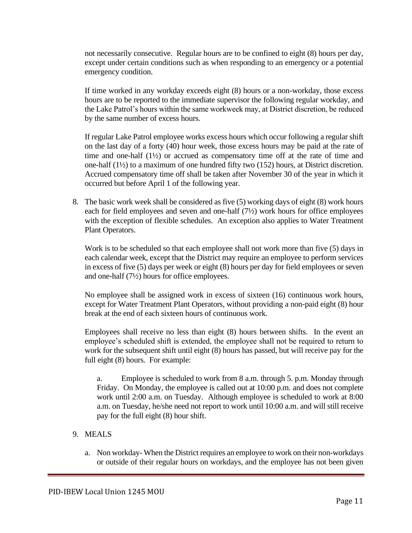not necessarily consecutive. Regular hours are to be confined to eight (8) hours per day, except under certain conditions such as when responding to an emergency or a potential emergency condition.

If time worked in any workday exceeds eight (8) hours or a non-workday, those excess hours are to be reported to the immediate supervisor the following regular workday, and the Lake Patrol's hours within the same workweek may, at District discretion, be reduced by the same number of excess hours.

If regular Lake Patrol employee works excess hours which occur following a regular shift on the last day of a forty (40) hour week, those excess hours may be paid at the rate of time and one-half (1½) or accrued as compensatory time off at the rate of time and one-half (1½) to a maximum of one hundred fifty two (152) hours, at District discretion. Accrued compensatory time off shall be taken after November 30 of the year in which it occurred but before April 1 of the following year.

8. The basic work week shall be considered as five (5) working days of eight (8) work hours each for field employees and seven and one-half (7½) work hours for office employees with the exception of flexible schedules. An exception also applies to Water Treatment Plant Operators.

Work is to be scheduled so that each employee shall not work more than five (5) days in each calendar week, except that the District may require an employee to perform services in excess of five (5) days per week or eight (8) hours per day for field employees or seven and one-half (7½) hours for office employees.

No employee shall be assigned work in excess of sixteen (16) continuous work hours, except for Water Treatment Plant Operators, without providing a non-paid eight (8) hour break at the end of each sixteen hours of continuous work.

Employees shall receive no less than eight (8) hours between shifts. In the event an employee's scheduled shift is extended, the employee shall not be required to return to work for the subsequent shift until eight (8) hours has passed, but will receive pay for the full eight (8) hours. For example:

a. Employee is scheduled to work from 8 a.m. through 5. p.m. Monday through Friday. On Monday, the employee is called out at 10:00 p.m. and does not complete work until 2:00 a.m. on Tuesday. Although employee is scheduled to work at 8:00 a.m. on Tuesday, he/she need not report to work until 10:00 a.m. and will still receive pay for the full eight (8) hour shift.

## 9. MEALS

a. Non workday- When the District requires an employee to work on their non-workdays or outside of their regular hours on workdays, and the employee has not been given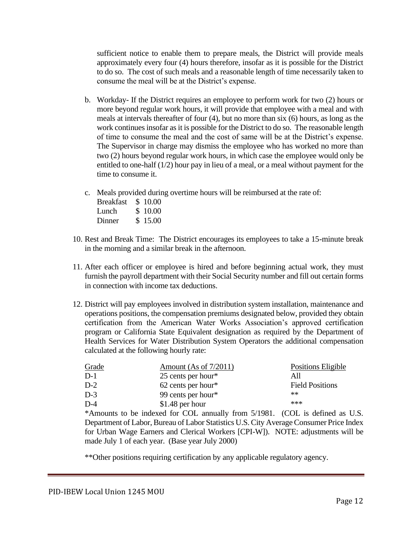sufficient notice to enable them to prepare meals, the District will provide meals approximately every four (4) hours therefore, insofar as it is possible for the District to do so. The cost of such meals and a reasonable length of time necessarily taken to consume the meal will be at the District's expense.

- b. Workday- If the District requires an employee to perform work for two (2) hours or more beyond regular work hours, it will provide that employee with a meal and with meals at intervals thereafter of four (4), but no more than six (6) hours, as long as the work continues insofar as it is possible for the District to do so. The reasonable length of time to consume the meal and the cost of same will be at the District's expense. The Supervisor in charge may dismiss the employee who has worked no more than two (2) hours beyond regular work hours, in which case the employee would only be entitled to one-half  $(1/2)$  hour pay in lieu of a meal, or a meal without payment for the time to consume it.
- c. Meals provided during overtime hours will be reimbursed at the rate of:

| <b>Breakfast</b> | \$10.00 |
|------------------|---------|
| Lunch            | \$10.00 |
| Dinner           | \$15.00 |

- 10. Rest and Break Time: The District encourages its employees to take a 15-minute break in the morning and a similar break in the afternoon.
- 11. After each officer or employee is hired and before beginning actual work, they must furnish the payroll department with their Social Security number and fill out certain forms in connection with income tax deductions.
- 12. District will pay employees involved in distribution system installation, maintenance and operations positions, the compensation premiums designated below, provided they obtain certification from the American Water Works Association's approved certification program or California State Equivalent designation as required by the Department of Health Services for Water Distribution System Operators the additional compensation calculated at the following hourly rate:

| Grade | Amount (As of $7/2011$ ) | Positions Eligible     |
|-------|--------------------------|------------------------|
| D-1   | 25 cents per hour $*$    | All                    |
| $D-2$ | $62$ cents per hour*     | <b>Field Positions</b> |
| D-3   | 99 cents per hour*       | $**$                   |
| D-4   | $$1.48$ per hour         | ***                    |
|       |                          |                        |

\*Amounts to be indexed for COL annually from 5/1981. (COL is defined as U.S. Department of Labor, Bureau of Labor Statistics U.S. City Average Consumer Price Index for Urban Wage Earners and Clerical Workers [CPI-W]). NOTE: adjustments will be made July 1 of each year. (Base year July 2000)

\*\*Other positions requiring certification by any applicable regulatory agency.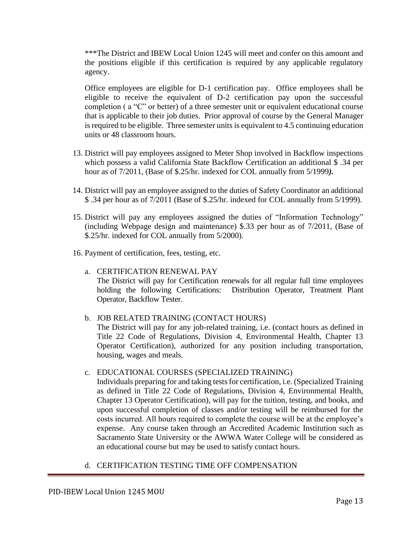\*\*\*The District and IBEW Local Union 1245 will meet and confer on this amount and the positions eligible if this certification is required by any applicable regulatory agency.

Office employees are eligible for D-1 certification pay. Office employees shall be eligible to receive the equivalent of D-2 certification pay upon the successful completion ( a "C" or better) of a three semester unit or equivalent educational course that is applicable to their job duties. Prior approval of course by the General Manager is required to be eligible. Three semester units is equivalent to 4.5 continuing education units or 48 classroom hours.

- 13. District will pay employees assigned to Meter Shop involved in Backflow inspections which possess a valid California State Backflow Certification an additional \$ .34 per hour as of 7/2011, (Base of \$.25/hr. indexed for COL annually from 5/1999*).*
- 14. District will pay an employee assigned to the duties of Safety Coordinator an additional \$ .34 per hour as of 7/2011 (Base of \$.25/hr. indexed for COL annually from 5/1999).
- 15. District will pay any employees assigned the duties of "Information Technology" (including Webpage design and maintenance) \$.33 per hour as of 7/2011, (Base of \$.25/hr. indexed for COL annually from 5/2000).
- 16. Payment of certification, fees, testing, etc.
	- a. CERTIFICATION RENEWAL PAY The District will pay for Certification renewals for all regular full time employees holding the following Certifications: Distribution Operator, Treatment Plant Operator, Backflow Tester.
	- b. JOB RELATED TRAINING (CONTACT HOURS) The District will pay for any job-related training, i.e. (contact hours as defined in Title 22 Code of Regulations, Division 4, Environmental Health, Chapter 13 Operator Certification), authorized for any position including transportation, housing, wages and meals.
	- c. EDUCATIONAL COURSES (SPECIALIZED TRAINING) Individuals preparing for and taking tests for certification, i.e. (Specialized Training as defined in Title 22 Code of Regulations, Division 4, Environmental Health, Chapter 13 Operator Certification), will pay for the tuition, testing, and books, and upon successful completion of classes and/or testing will be reimbursed for the costs incurred. All hours required to complete the course will be at the employee's expense. Any course taken through an Accredited Academic Institution such as Sacramento State University or the AWWA Water College will be considered as an educational course but may be used to satisfy contact hours.
	- d. CERTIFICATION TESTING TIME OFF COMPENSATION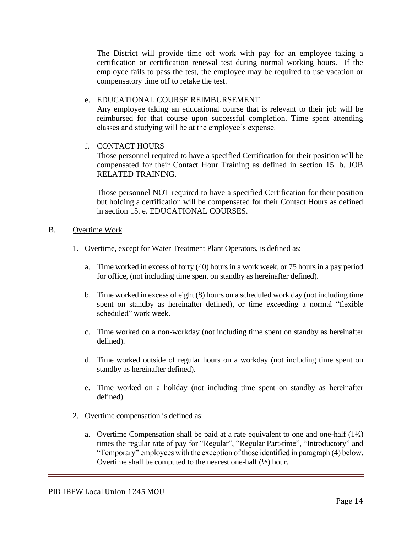The District will provide time off work with pay for an employee taking a certification or certification renewal test during normal working hours. If the employee fails to pass the test, the employee may be required to use vacation or compensatory time off to retake the test.

#### e. EDUCATIONAL COURSE REIMBURSEMENT

Any employee taking an educational course that is relevant to their job will be reimbursed for that course upon successful completion. Time spent attending classes and studying will be at the employee's expense.

## f. CONTACT HOURS

Those personnel required to have a specified Certification for their position will be compensated for their Contact Hour Training as defined in section 15. b. JOB RELATED TRAINING.

Those personnel NOT required to have a specified Certification for their position but holding a certification will be compensated for their Contact Hours as defined in section 15. e. EDUCATIONAL COURSES.

#### B. Overtime Work

- 1. Overtime, except for Water Treatment Plant Operators, is defined as:
	- a. Time worked in excess of forty (40) hours in a work week, or 75 hours in a pay period for office, (not including time spent on standby as hereinafter defined).
	- b. Time worked in excess of eight (8) hours on a scheduled work day (not including time spent on standby as hereinafter defined), or time exceeding a normal "flexible scheduled" work week.
	- c. Time worked on a non-workday (not including time spent on standby as hereinafter defined).
	- d. Time worked outside of regular hours on a workday (not including time spent on standby as hereinafter defined).
	- e. Time worked on a holiday (not including time spent on standby as hereinafter defined).
- 2. Overtime compensation is defined as:
	- a. Overtime Compensation shall be paid at a rate equivalent to one and one-half  $(1\frac{1}{2})$ times the regular rate of pay for "Regular", "Regular Part-time", "Introductory" and "Temporary" employees with the exception of those identified in paragraph (4) below. Overtime shall be computed to the nearest one-half  $(\frac{1}{2})$  hour.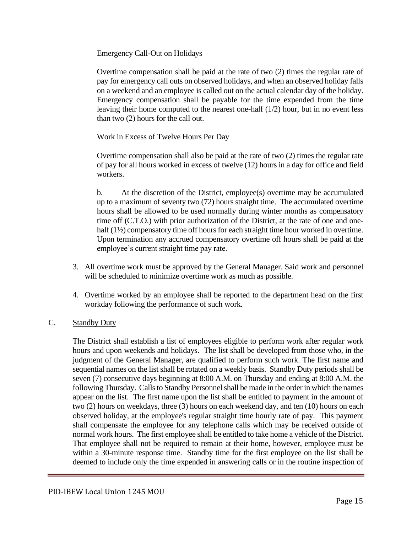Emergency Call-Out on Holidays

Overtime compensation shall be paid at the rate of two (2) times the regular rate of pay for emergency call outs on observed holidays, and when an observed holiday falls on a weekend and an employee is called out on the actual calendar day of the holiday. Emergency compensation shall be payable for the time expended from the time leaving their home computed to the nearest one-half (1/2) hour, but in no event less than two (2) hours for the call out.

Work in Excess of Twelve Hours Per Day

Overtime compensation shall also be paid at the rate of two (2) times the regular rate of pay for all hours worked in excess of twelve (12) hours in a day for office and field workers.

b. At the discretion of the District, employee(s) overtime may be accumulated up to a maximum of seventy two (72) hours straight time. The accumulated overtime hours shall be allowed to be used normally during winter months as compensatory time off (C.T.O.) with prior authorization of the District, at the rate of one and onehalf (1½) compensatory time off hours for each straight time hour worked in overtime. Upon termination any accrued compensatory overtime off hours shall be paid at the employee's current straight time pay rate.

- 3. All overtime work must be approved by the General Manager. Said work and personnel will be scheduled to minimize overtime work as much as possible.
- 4. Overtime worked by an employee shall be reported to the department head on the first workday following the performance of such work.

## C. Standby Duty

The District shall establish a list of employees eligible to perform work after regular work hours and upon weekends and holidays. The list shall be developed from those who, in the judgment of the General Manager, are qualified to perform such work. The first name and sequential names on the list shall be rotated on a weekly basis. Standby Duty periods shall be seven (7) consecutive days beginning at 8:00 A.M. on Thursday and ending at 8:00 A.M. the following Thursday. Calls to Standby Personnel shall be made in the order in which the names appear on the list. The first name upon the list shall be entitled to payment in the amount of two (2) hours on weekdays, three (3) hours on each weekend day, and ten (10) hours on each observed holiday, at the employee's regular straight time hourly rate of pay. This payment shall compensate the employee for any telephone calls which may be received outside of normal work hours. The first employee shall be entitled to take home a vehicle of the District. That employee shall not be required to remain at their home, however, employee must be within a 30-minute response time. Standby time for the first employee on the list shall be deemed to include only the time expended in answering calls or in the routine inspection of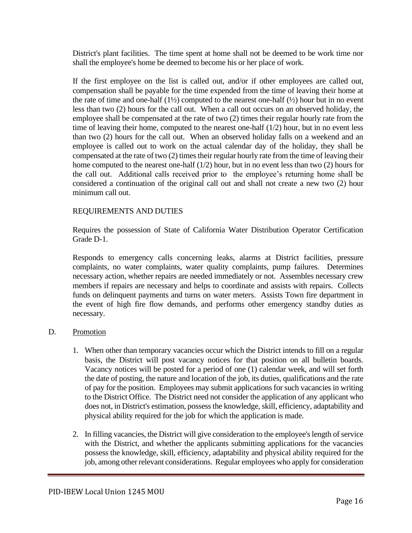District's plant facilities. The time spent at home shall not be deemed to be work time nor shall the employee's home be deemed to become his or her place of work.

If the first employee on the list is called out, and/or if other employees are called out, compensation shall be payable for the time expended from the time of leaving their home at the rate of time and one-half  $(1\frac{1}{2})$  computed to the nearest one-half  $(1\frac{1}{2})$  hour but in no event less than two (2) hours for the call out. When a call out occurs on an observed holiday, the employee shall be compensated at the rate of two (2) times their regular hourly rate from the time of leaving their home, computed to the nearest one-half (1/2) hour, but in no event less than two (2) hours for the call out. When an observed holiday falls on a weekend and an employee is called out to work on the actual calendar day of the holiday, they shall be compensated at the rate of two (2) times their regular hourly rate from the time of leaving their home computed to the nearest one-half (1/2) hour, but in no event less than two (2) hours for the call out. Additional calls received prior to the employee's returning home shall be considered a continuation of the original call out and shall not create a new two (2) hour minimum call out.

#### REQUIREMENTS AND DUTIES

Requires the possession of State of California Water Distribution Operator Certification Grade D-1.

Responds to emergency calls concerning leaks, alarms at District facilities, pressure complaints, no water complaints, water quality complaints, pump failures. Determines necessary action, whether repairs are needed immediately or not. Assembles necessary crew members if repairs are necessary and helps to coordinate and assists with repairs. Collects funds on delinquent payments and turns on water meters. Assists Town fire department in the event of high fire flow demands, and performs other emergency standby duties as necessary.

#### D. Promotion

- 1. When other than temporary vacancies occur which the District intends to fill on a regular basis, the District will post vacancy notices for that position on all bulletin boards. Vacancy notices will be posted for a period of one (1) calendar week, and will set forth the date of posting, the nature and location of the job, its duties, qualifications and the rate of pay for the position. Employees may submit applications for such vacancies in writing to the District Office. The District need not consider the application of any applicant who does not, in District's estimation, possess the knowledge, skill, efficiency, adaptability and physical ability required for the job for which the application is made.
- 2. In filling vacancies, the District will give consideration to the employee's length of service with the District, and whether the applicants submitting applications for the vacancies possess the knowledge, skill, efficiency, adaptability and physical ability required for the job, among other relevant considerations. Regular employees who apply for consideration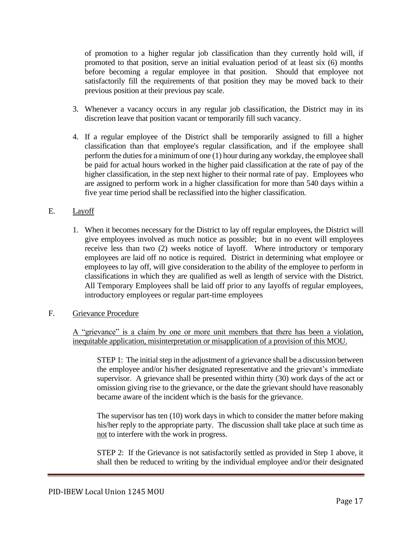of promotion to a higher regular job classification than they currently hold will, if promoted to that position, serve an initial evaluation period of at least six (6) months before becoming a regular employee in that position. Should that employee not satisfactorily fill the requirements of that position they may be moved back to their previous position at their previous pay scale.

- 3. Whenever a vacancy occurs in any regular job classification, the District may in its discretion leave that position vacant or temporarily fill such vacancy.
- 4. If a regular employee of the District shall be temporarily assigned to fill a higher classification than that employee's regular classification, and if the employee shall perform the duties for a minimum of one (1) hour during any workday, the employee shall be paid for actual hours worked in the higher paid classification at the rate of pay of the higher classification, in the step next higher to their normal rate of pay. Employees who are assigned to perform work in a higher classification for more than 540 days within a five year time period shall be reclassified into the higher classification.

## E. Layoff

1. When it becomes necessary for the District to lay off regular employees, the District will give employees involved as much notice as possible; but in no event will employees receive less than two (2) weeks notice of layoff. Where introductory or temporary employees are laid off no notice is required. District in determining what employee or employees to lay off, will give consideration to the ability of the employee to perform in classifications in which they are qualified as well as length of service with the District. All Temporary Employees shall be laid off prior to any layoffs of regular employees, introductory employees or regular part-time employees

## F. Grievance Procedure

A "grievance" is a claim by one or more unit members that there has been a violation, inequitable application, misinterpretation or misapplication of a provision of this MOU.

STEP 1: The initial step in the adjustment of a grievance shall be a discussion between the employee and/or his/her designated representative and the grievant's immediate supervisor. A grievance shall be presented within thirty (30) work days of the act or omission giving rise to the grievance, or the date the grievant should have reasonably became aware of the incident which is the basis for the grievance.

The supervisor has ten (10) work days in which to consider the matter before making his/her reply to the appropriate party. The discussion shall take place at such time as not to interfere with the work in progress.

STEP 2: If the Grievance is not satisfactorily settled as provided in Step 1 above, it shall then be reduced to writing by the individual employee and/or their designated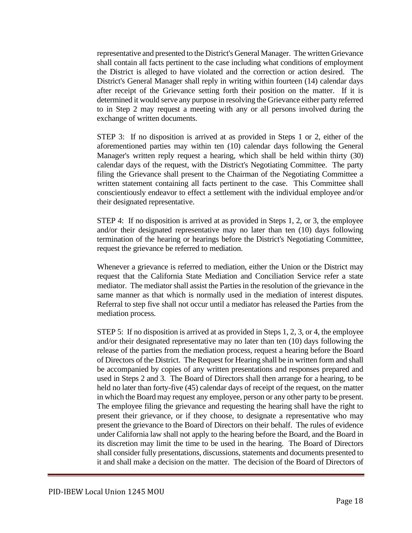representative and presented to the District's General Manager. The written Grievance shall contain all facts pertinent to the case including what conditions of employment the District is alleged to have violated and the correction or action desired. The District's General Manager shall reply in writing within fourteen (14) calendar days after receipt of the Grievance setting forth their position on the matter. If it is determined it would serve any purpose in resolving the Grievance either party referred to in Step 2 may request a meeting with any or all persons involved during the exchange of written documents.

STEP 3: If no disposition is arrived at as provided in Steps 1 or 2, either of the aforementioned parties may within ten (10) calendar days following the General Manager's written reply request a hearing, which shall be held within thirty (30) calendar days of the request, with the District's Negotiating Committee. The party filing the Grievance shall present to the Chairman of the Negotiating Committee a written statement containing all facts pertinent to the case. This Committee shall conscientiously endeavor to effect a settlement with the individual employee and/or their designated representative.

STEP 4: If no disposition is arrived at as provided in Steps 1, 2, or 3, the employee and/or their designated representative may no later than ten (10) days following termination of the hearing or hearings before the District's Negotiating Committee, request the grievance be referred to mediation.

Whenever a grievance is referred to mediation, either the Union or the District may request that the California State Mediation and Conciliation Service refer a state mediator. The mediator shall assist the Parties in the resolution of the grievance in the same manner as that which is normally used in the mediation of interest disputes. Referral to step five shall not occur until a mediator has released the Parties from the mediation process.

STEP 5: If no disposition is arrived at as provided in Steps 1, 2, 3, or 4, the employee and/or their designated representative may no later than ten (10) days following the release of the parties from the mediation process, request a hearing before the Board of Directors of the District. The Request for Hearing shall be in written form and shall be accompanied by copies of any written presentations and responses prepared and used in Steps 2 and 3. The Board of Directors shall then arrange for a hearing, to be held no later than forty-five (45) calendar days of receipt of the request, on the matter in which the Board may request any employee, person or any other party to be present. The employee filing the grievance and requesting the hearing shall have the right to present their grievance, or if they choose, to designate a representative who may present the grievance to the Board of Directors on their behalf. The rules of evidence under California law shall not apply to the hearing before the Board, and the Board in its discretion may limit the time to be used in the hearing. The Board of Directors shall consider fully presentations, discussions, statements and documents presented to it and shall make a decision on the matter. The decision of the Board of Directors of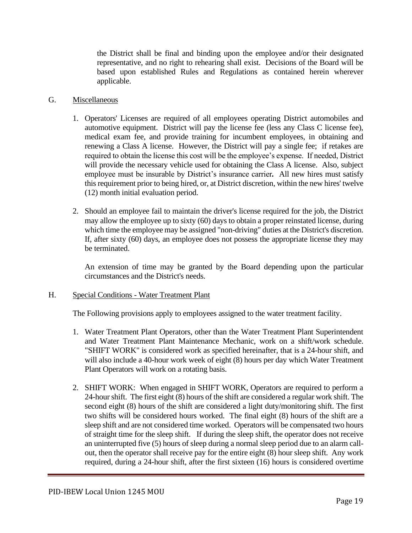the District shall be final and binding upon the employee and/or their designated representative, and no right to rehearing shall exist. Decisions of the Board will be based upon established Rules and Regulations as contained herein wherever applicable.

## G. Miscellaneous

- 1. Operators' Licenses are required of all employees operating District automobiles and automotive equipment. District will pay the license fee (less any Class C license fee), medical exam fee, and provide training for incumbent employees, in obtaining and renewing a Class A license. However, the District will pay a single fee; if retakes are required to obtain the license this cost will be the employee's expense. If needed, District will provide the necessary vehicle used for obtaining the Class A license. Also, subject employee must be insurable by District's insurance carrier*.* All new hires must satisfy this requirement prior to being hired, or, at District discretion, within the new hires' twelve (12) month initial evaluation period.
- 2. Should an employee fail to maintain the driver's license required for the job, the District may allow the employee up to sixty (60) days to obtain a proper reinstated license, during which time the employee may be assigned "non-driving" duties at the District's discretion. If, after sixty (60) days, an employee does not possess the appropriate license they may be terminated.

An extension of time may be granted by the Board depending upon the particular circumstances and the District's needs.

## H. Special Conditions - Water Treatment Plant

The Following provisions apply to employees assigned to the water treatment facility.

- 1. Water Treatment Plant Operators, other than the Water Treatment Plant Superintendent and Water Treatment Plant Maintenance Mechanic, work on a shift/work schedule. "SHIFT WORK" is considered work as specified hereinafter, that is a 24-hour shift, and will also include a 40-hour work week of eight (8) hours per day which Water Treatment Plant Operators will work on a rotating basis.
- 2. SHIFT WORK: When engaged in SHIFT WORK, Operators are required to perform a 24-hour shift. The first eight (8) hours of the shift are considered a regular work shift. The second eight (8) hours of the shift are considered a light duty/monitoring shift. The first two shifts will be considered hours worked. The final eight (8) hours of the shift are a sleep shift and are not considered time worked. Operators will be compensated two hours of straight time for the sleep shift. If during the sleep shift, the operator does not receive an uninterrupted five (5) hours of sleep during a normal sleep period due to an alarm callout, then the operator shall receive pay for the entire eight (8) hour sleep shift. Any work required, during a 24-hour shift, after the first sixteen (16) hours is considered overtime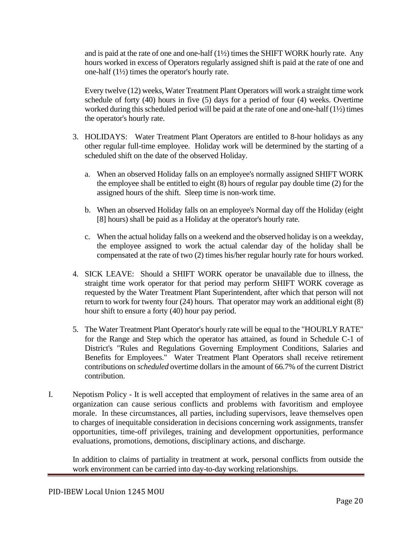and is paid at the rate of one and one-half (1½) times the SHIFT WORK hourly rate. Any hours worked in excess of Operators regularly assigned shift is paid at the rate of one and one-half (1½) times the operator's hourly rate.

Every twelve (12) weeks, Water Treatment Plant Operators will work a straight time work schedule of forty (40) hours in five (5) days for a period of four (4) weeks. Overtime worked during this scheduled period will be paid at the rate of one and one-half (1½) times the operator's hourly rate.

- 3. HOLIDAYS: Water Treatment Plant Operators are entitled to 8-hour holidays as any other regular full-time employee. Holiday work will be determined by the starting of a scheduled shift on the date of the observed Holiday.
	- a. When an observed Holiday falls on an employee's normally assigned SHIFT WORK the employee shall be entitled to eight (8) hours of regular pay double time (2) for the assigned hours of the shift. Sleep time is non-work time.
	- b. When an observed Holiday falls on an employee's Normal day off the Holiday (eight [8] hours) shall be paid as a Holiday at the operator's hourly rate.
	- c. When the actual holiday falls on a weekend and the observed holiday is on a weekday, the employee assigned to work the actual calendar day of the holiday shall be compensated at the rate of two (2) times his/her regular hourly rate for hours worked.
- 4. SICK LEAVE: Should a SHIFT WORK operator be unavailable due to illness, the straight time work operator for that period may perform SHIFT WORK coverage as requested by the Water Treatment Plant Superintendent, after which that person will not return to work for twenty four (24) hours. That operator may work an additional eight (8) hour shift to ensure a forty (40) hour pay period.
- 5. The Water Treatment Plant Operator's hourly rate will be equal to the "HOURLY RATE" for the Range and Step which the operator has attained, as found in Schedule C-1 of District's "Rules and Regulations Governing Employment Conditions, Salaries and Benefits for Employees." Water Treatment Plant Operators shall receive retirement contributions on *scheduled* overtime dollars in the amount of 66.7% of the current District contribution.
- I. Nepotism Policy It is well accepted that employment of relatives in the same area of an organization can cause serious conflicts and problems with favoritism and employee morale. In these circumstances, all parties, including supervisors, leave themselves open to charges of inequitable consideration in decisions concerning work assignments, transfer opportunities, time-off privileges, training and development opportunities, performance evaluations, promotions, demotions, disciplinary actions, and discharge.

In addition to claims of partiality in treatment at work, personal conflicts from outside the work environment can be carried into day-to-day working relationships.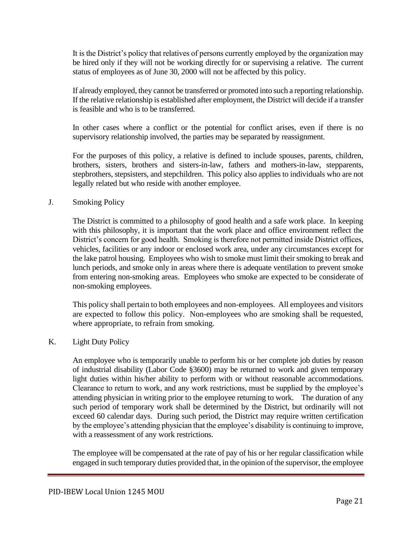It is the District's policy that relatives of persons currently employed by the organization may be hired only if they will not be working directly for or supervising a relative. The current status of employees as of June 30, 2000 will not be affected by this policy.

If already employed, they cannot be transferred or promoted into such a reporting relationship. If the relative relationship is established after employment, the District will decide if a transfer is feasible and who is to be transferred.

In other cases where a conflict or the potential for conflict arises, even if there is no supervisory relationship involved, the parties may be separated by reassignment.

For the purposes of this policy, a relative is defined to include spouses, parents, children, brothers, sisters, brothers and sisters-in-law, fathers and mothers-in-law, stepparents, stepbrothers, stepsisters, and stepchildren. This policy also applies to individuals who are not legally related but who reside with another employee.

#### J. Smoking Policy

The District is committed to a philosophy of good health and a safe work place. In keeping with this philosophy, it is important that the work place and office environment reflect the District's concern for good health. Smoking is therefore not permitted inside District offices, vehicles, facilities or any indoor or enclosed work area, under any circumstances except for the lake patrol housing. Employees who wish to smoke must limit their smoking to break and lunch periods, and smoke only in areas where there is adequate ventilation to prevent smoke from entering non-smoking areas. Employees who smoke are expected to be considerate of non-smoking employees.

This policy shall pertain to both employees and non-employees. All employees and visitors are expected to follow this policy. Non-employees who are smoking shall be requested, where appropriate, to refrain from smoking.

#### K. Light Duty Policy

An employee who is temporarily unable to perform his or her complete job duties by reason of industrial disability (Labor Code §3600) may be returned to work and given temporary light duties within his/her ability to perform with or without reasonable accommodations. Clearance to return to work, and any work restrictions, must be supplied by the employee's attending physician in writing prior to the employee returning to work. The duration of any such period of temporary work shall be determined by the District, but ordinarily will not exceed 60 calendar days. During such period, the District may require written certification by the employee's attending physician that the employee's disability is continuing to improve, with a reassessment of any work restrictions.

The employee will be compensated at the rate of pay of his or her regular classification while engaged in such temporary duties provided that, in the opinion of the supervisor, the employee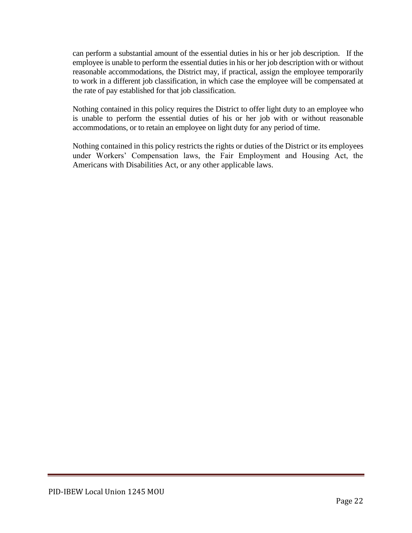can perform a substantial amount of the essential duties in his or her job description. If the employee is unable to perform the essential duties in his or her job description with or without reasonable accommodations, the District may, if practical, assign the employee temporarily to work in a different job classification, in which case the employee will be compensated at the rate of pay established for that job classification.

Nothing contained in this policy requires the District to offer light duty to an employee who is unable to perform the essential duties of his or her job with or without reasonable accommodations, or to retain an employee on light duty for any period of time.

Nothing contained in this policy restricts the rights or duties of the District or its employees under Workers' Compensation laws, the Fair Employment and Housing Act, the Americans with Disabilities Act, or any other applicable laws.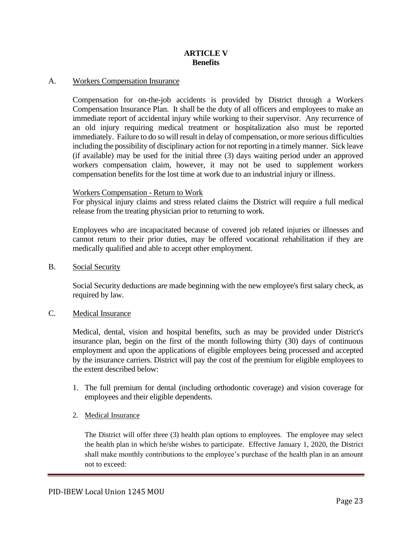#### **ARTICLE V Benefits**

#### A. Workers Compensation Insurance

Compensation for on-the-job accidents is provided by District through a Workers Compensation Insurance Plan. It shall be the duty of all officers and employees to make an immediate report of accidental injury while working to their supervisor. Any recurrence of an old injury requiring medical treatment or hospitalization also must be reported immediately. Failure to do so will result in delay of compensation, or more serious difficulties including the possibility of disciplinary action for not reporting in a timely manner. Sick leave (if available) may be used for the initial three (3) days waiting period under an approved workers compensation claim, however, it may not be used to supplement workers compensation benefits for the lost time at work due to an industrial injury or illness.

#### Workers Compensation - Return to Work

For physical injury claims and stress related claims the District will require a full medical release from the treating physician prior to returning to work.

Employees who are incapacitated because of covered job related injuries or illnesses and cannot return to their prior duties, may be offered vocational rehabilitation if they are medically qualified and able to accept other employment.

B. Social Security

Social Security deductions are made beginning with the new employee's first salary check, as required by law.

#### C. Medical Insurance

Medical, dental, vision and hospital benefits, such as may be provided under District's insurance plan, begin on the first of the month following thirty (30) days of continuous employment and upon the applications of eligible employees being processed and accepted by the insurance carriers. District will pay the cost of the premium for eligible employees to the extent described below:

- 1. The full premium for dental (including orthodontic coverage) and vision coverage for employees and their eligible dependents.
- 2. Medical Insurance

The District will offer three (3) health plan options to employees. The employee may select the health plan in which he/she wishes to participate. Effective January 1, 2020, the District shall make monthly contributions to the employee's purchase of the health plan in an amount not to exceed: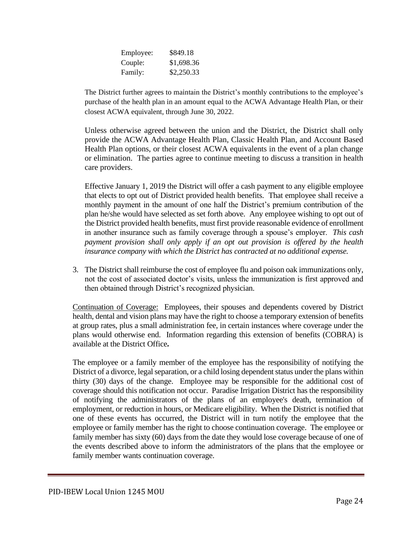| Employee: | \$849.18   |
|-----------|------------|
| Couple:   | \$1,698.36 |
| Family:   | \$2,250.33 |

The District further agrees to maintain the District's monthly contributions to the employee's purchase of the health plan in an amount equal to the ACWA Advantage Health Plan, or their closest ACWA equivalent, through June 30, 2022.

Unless otherwise agreed between the union and the District, the District shall only provide the ACWA Advantage Health Plan, Classic Health Plan, and Account Based Health Plan options, or their closest ACWA equivalents in the event of a plan change or elimination. The parties agree to continue meeting to discuss a transition in health care providers.

Effective January 1, 2019 the District will offer a cash payment to any eligible employee that elects to opt out of District provided health benefits. That employee shall receive a monthly payment in the amount of one half the District's premium contribution of the plan he/she would have selected as set forth above. Any employee wishing to opt out of the District provided health benefits, must first provide reasonable evidence of enrollment in another insurance such as family coverage through a spouse's employer. *This cash payment provision shall only apply if an opt out provision is offered by the health insurance company with which the District has contracted at no additional expense.*

3. The District shall reimburse the cost of employee flu and poison oak immunizations only, not the cost of associated doctor's visits, unless the immunization is first approved and then obtained through District's recognized physician.

Continuation of Coverage: Employees, their spouses and dependents covered by District health, dental and vision plans may have the right to choose a temporary extension of benefits at group rates, plus a small administration fee, in certain instances where coverage under the plans would otherwise end. Information regarding this extension of benefits (COBRA) is available at the District Office*.* 

The employee or a family member of the employee has the responsibility of notifying the District of a divorce, legal separation, or a child losing dependent status under the plans within thirty (30) days of the change. Employee may be responsible for the additional cost of coverage should this notification not occur. Paradise Irrigation District has the responsibility of notifying the administrators of the plans of an employee's death, termination of employment, or reduction in hours, or Medicare eligibility. When the District is notified that one of these events has occurred, the District will in turn notify the employee that the employee or family member has the right to choose continuation coverage. The employee or family member has sixty (60) days from the date they would lose coverage because of one of the events described above to inform the administrators of the plans that the employee or family member wants continuation coverage.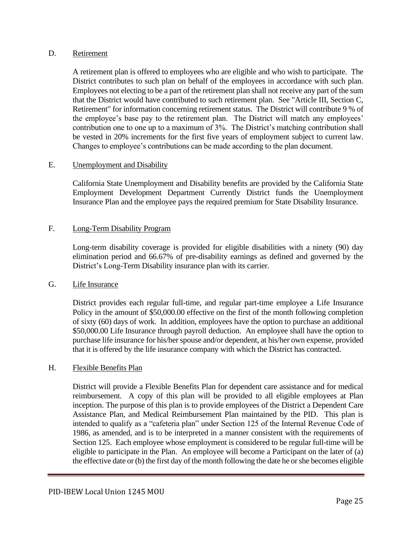#### D. Retirement

A retirement plan is offered to employees who are eligible and who wish to participate. The District contributes to such plan on behalf of the employees in accordance with such plan. Employees not electing to be a part of the retirement plan shall not receive any part of the sum that the District would have contributed to such retirement plan. See "Article III, Section C, Retirement" for information concerning retirement status. The District will contribute 9 % of the employee's base pay to the retirement plan. The District will match any employees' contribution one to one up to a maximum of 3%. The District's matching contribution shall be vested in 20% increments for the first five years of employment subject to current law. Changes to employee's contributions can be made according to the plan document.

#### E. Unemployment and Disability

California State Unemployment and Disability benefits are provided by the California State Employment Development Department Currently District funds the Unemployment Insurance Plan and the employee pays the required premium for State Disability Insurance.

#### F. Long-Term Disability Program

Long-term disability coverage is provided for eligible disabilities with a ninety (90) day elimination period and 66.67% of pre-disability earnings as defined and governed by the District's Long-Term Disability insurance plan with its carrier.

#### G. Life Insurance

District provides each regular full-time, and regular part-time employee a Life Insurance Policy in the amount of \$50,000.00 effective on the first of the month following completion of sixty (60) days of work. In addition, employees have the option to purchase an additional \$50,000.00 Life Insurance through payroll deduction. An employee shall have the option to purchase life insurance for his/her spouse and/or dependent, at his/her own expense, provided that it is offered by the life insurance company with which the District has contracted.

#### H. Flexible Benefits Plan

District will provide a Flexible Benefits Plan for dependent care assistance and for medical reimbursement. A copy of this plan will be provided to all eligible employees at Plan inception. The purpose of this plan is to provide employees of the District a Dependent Care Assistance Plan, and Medical Reimbursement Plan maintained by the PID. This plan is intended to qualify as a "cafeteria plan" under Section 125 of the Internal Revenue Code of 1986, as amended, and is to be interpreted in a manner consistent with the requirements of Section 125. Each employee whose employment is considered to be regular full-time will be eligible to participate in the Plan. An employee will become a Participant on the later of (a) the effective date or (b) the first day of the month following the date he or she becomes eligible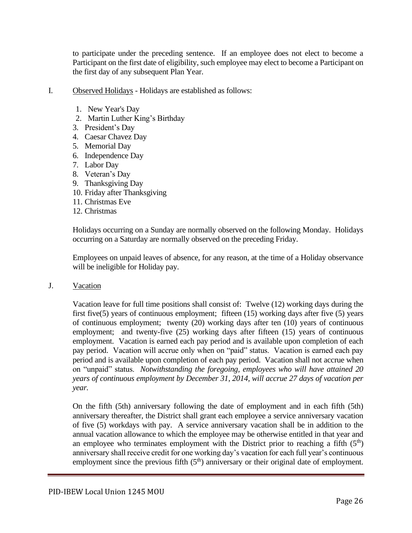to participate under the preceding sentence. If an employee does not elect to become a Participant on the first date of eligibility, such employee may elect to become a Participant on the first day of any subsequent Plan Year.

- I. Observed Holidays Holidays are established as follows:
	- 1. New Year's Day
	- 2. Martin Luther King's Birthday
	- 3. President's Day
	- 4. Caesar Chavez Day
	- 5. Memorial Day
	- 6. Independence Day
	- 7. Labor Day
	- 8. Veteran's Day
	- 9. Thanksgiving Day
	- 10. Friday after Thanksgiving
	- 11. Christmas Eve
	- 12. Christmas

Holidays occurring on a Sunday are normally observed on the following Monday. Holidays occurring on a Saturday are normally observed on the preceding Friday.

Employees on unpaid leaves of absence, for any reason, at the time of a Holiday observance will be ineligible for Holiday pay.

J. Vacation

Vacation leave for full time positions shall consist of: Twelve (12) working days during the first five(5) years of continuous employment; fifteen (15) working days after five (5) years of continuous employment; twenty (20) working days after ten (10) years of continuous employment; and twenty-five (25) working days after fifteen (15) years of continuous employment. Vacation is earned each pay period and is available upon completion of each pay period. Vacation will accrue only when on "paid" status. Vacation is earned each pay period and is available upon completion of each pay period. Vacation shall not accrue when on "unpaid" status. *Notwithstanding the foregoing, employees who will have attained 20 years of continuous employment by December 31, 2014, will accrue 27 days of vacation per year.* 

On the fifth (5th) anniversary following the date of employment and in each fifth (5th) anniversary thereafter, the District shall grant each employee a service anniversary vacation of five (5) workdays with pay. A service anniversary vacation shall be in addition to the annual vacation allowance to which the employee may be otherwise entitled in that year and an employee who terminates employment with the District prior to reaching a fifth  $(5<sup>th</sup>)$ anniversary shall receive credit for one working day's vacation for each full year's continuous employment since the previous fifth  $(5<sup>th</sup>)$  anniversary or their original date of employment.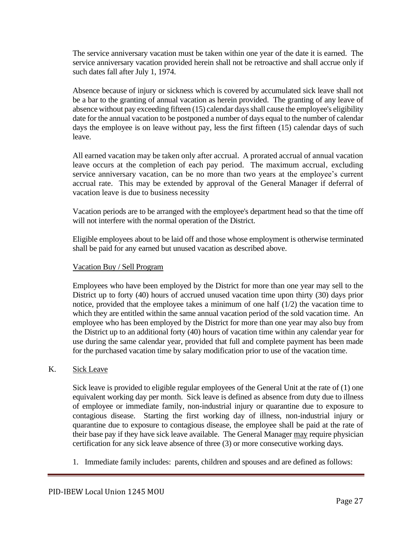The service anniversary vacation must be taken within one year of the date it is earned. The service anniversary vacation provided herein shall not be retroactive and shall accrue only if such dates fall after July 1, 1974.

Absence because of injury or sickness which is covered by accumulated sick leave shall not be a bar to the granting of annual vacation as herein provided. The granting of any leave of absence without pay exceeding fifteen (15) calendar days shall cause the employee's eligibility date for the annual vacation to be postponed a number of days equal to the number of calendar days the employee is on leave without pay, less the first fifteen (15) calendar days of such leave.

All earned vacation may be taken only after accrual. A prorated accrual of annual vacation leave occurs at the completion of each pay period. The maximum accrual, excluding service anniversary vacation, can be no more than two years at the employee's current accrual rate. This may be extended by approval of the General Manager if deferral of vacation leave is due to business necessity

Vacation periods are to be arranged with the employee's department head so that the time off will not interfere with the normal operation of the District.

Eligible employees about to be laid off and those whose employment is otherwise terminated shall be paid for any earned but unused vacation as described above.

## Vacation Buy / Sell Program

Employees who have been employed by the District for more than one year may sell to the District up to forty (40) hours of accrued unused vacation time upon thirty (30) days prior notice, provided that the employee takes a minimum of one half (1/2) the vacation time to which they are entitled within the same annual vacation period of the sold vacation time. An employee who has been employed by the District for more than one year may also buy from the District up to an additional forty (40) hours of vacation time within any calendar year for use during the same calendar year, provided that full and complete payment has been made for the purchased vacation time by salary modification prior to use of the vacation time.

#### K. Sick Leave

Sick leave is provided to eligible regular employees of the General Unit at the rate of (1) one equivalent working day per month. Sick leave is defined as absence from duty due to illness of employee or immediate family, non-industrial injury or quarantine due to exposure to contagious disease. Starting the first working day of illness, non-industrial injury or quarantine due to exposure to contagious disease, the employee shall be paid at the rate of their base pay if they have sick leave available. The General Manager may require physician certification for any sick leave absence of three (3) or more consecutive working days.

1. Immediate family includes: parents, children and spouses and are defined as follows: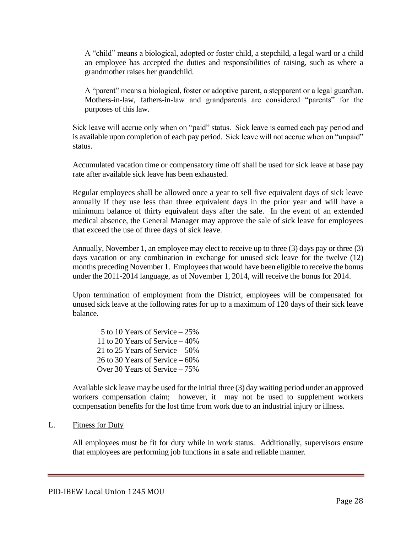A "child" means a biological, adopted or foster child, a stepchild, a legal ward or a child an employee has accepted the duties and responsibilities of raising, such as where a grandmother raises her grandchild.

A "parent" means a biological, foster or adoptive parent, a stepparent or a legal guardian. Mothers-in-law, fathers-in-law and grandparents are considered "parents" for the purposes of this law.

Sick leave will accrue only when on "paid" status. Sick leave is earned each pay period and is available upon completion of each pay period. Sick leave will not accrue when on "unpaid" status.

Accumulated vacation time or compensatory time off shall be used for sick leave at base pay rate after available sick leave has been exhausted.

Regular employees shall be allowed once a year to sell five equivalent days of sick leave annually if they use less than three equivalent days in the prior year and will have a minimum balance of thirty equivalent days after the sale. In the event of an extended medical absence, the General Manager may approve the sale of sick leave for employees that exceed the use of three days of sick leave.

Annually, November 1, an employee may elect to receive up to three (3) days pay or three (3) days vacation or any combination in exchange for unused sick leave for the twelve (12) months preceding November 1. Employees that would have been eligible to receive the bonus under the 2011-2014 language, as of November 1, 2014, will receive the bonus for 2014.

Upon termination of employment from the District, employees will be compensated for unused sick leave at the following rates for up to a maximum of 120 days of their sick leave balance.

 5 to 10 Years of Service – 25% 11 to 20 Years of Service – 40% 21 to 25 Years of Service – 50% 26 to 30 Years of Service – 60% Over 30 Years of Service – 75%

Available sick leave may be used for the initial three (3) day waiting period under an approved workers compensation claim; however, it may not be used to supplement workers compensation benefits for the lost time from work due to an industrial injury or illness.

#### L. Fitness for Duty

All employees must be fit for duty while in work status. Additionally, supervisors ensure that employees are performing job functions in a safe and reliable manner.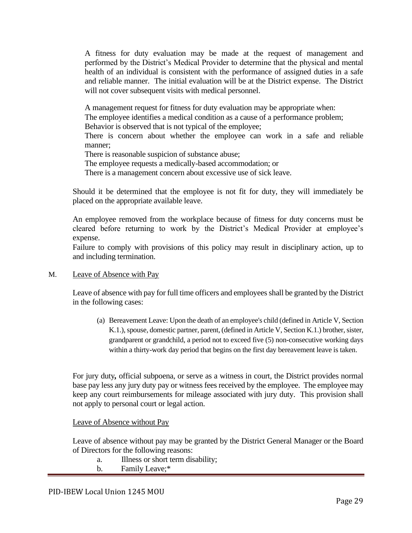A fitness for duty evaluation may be made at the request of management and performed by the District's Medical Provider to determine that the physical and mental health of an individual is consistent with the performance of assigned duties in a safe and reliable manner. The initial evaluation will be at the District expense. The District will not cover subsequent visits with medical personnel.

A management request for fitness for duty evaluation may be appropriate when:

The employee identifies a medical condition as a cause of a performance problem;

Behavior is observed that is not typical of the employee;

There is concern about whether the employee can work in a safe and reliable manner;

There is reasonable suspicion of substance abuse;

The employee requests a medically-based accommodation; or

There is a management concern about excessive use of sick leave.

Should it be determined that the employee is not fit for duty, they will immediately be placed on the appropriate available leave.

An employee removed from the workplace because of fitness for duty concerns must be cleared before returning to work by the District's Medical Provider at employee's expense.

Failure to comply with provisions of this policy may result in disciplinary action, up to and including termination.

#### M. Leave of Absence with Pay

Leave of absence with pay for full time officers and employees shall be granted by the District in the following cases:

(a) Bereavement Leave: Upon the death of an employee's child (defined in Article V, Section K.1.), spouse, domestic partner, parent, (defined in Article V, Section K.1.) brother, sister, grandparent or grandchild, a period not to exceed five (5) non-consecutive working days within a thirty-work day period that begins on the first day bereavement leave is taken.

For jury duty*,* official subpoena, or serve as a witness in court, the District provides normal base pay less any jury duty pay or witness fees received by the employee. The employee may keep any court reimbursements for mileage associated with jury duty. This provision shall not apply to personal court or legal action.

Leave of Absence without Pay

Leave of absence without pay may be granted by the District General Manager or the Board of Directors for the following reasons:

- a. Illness or short term disability;
- b. Family Leave;\*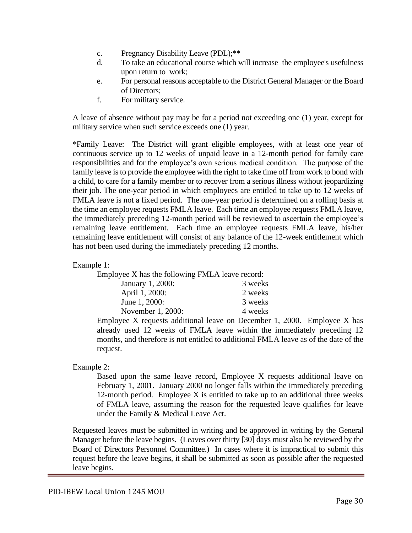- c. Pregnancy Disability Leave (PDL);\*\*
- d. To take an educational course which will increase the employee's usefulness upon return to work;
- e. For personal reasons acceptable to the District General Manager or the Board of Directors;
- f. For military service.

A leave of absence without pay may be for a period not exceeding one (1) year, except for military service when such service exceeds one (1) year.

\*Family Leave: The District will grant eligible employees, with at least one year of continuous service up to 12 weeks of unpaid leave in a 12-month period for family care responsibilities and for the employee's own serious medical condition. The purpose of the family leave is to provide the employee with the right to take time off from work to bond with a child, to care for a family member or to recover from a serious illness without jeopardizing their job. The one-year period in which employees are entitled to take up to 12 weeks of FMLA leave is not a fixed period. The one-year period is determined on a rolling basis at the time an employee requests FMLA leave. Each time an employee requests FMLA leave, the immediately preceding 12-month period will be reviewed to ascertain the employee's remaining leave entitlement. Each time an employee requests FMLA leave, his/her remaining leave entitlement will consist of any balance of the 12-week entitlement which has not been used during the immediately preceding 12 months.

#### Example 1:

Employee X has the following FMLA leave record: January 1, 2000: 3 weeks April 1, 2000: 2 weeks June 1, 2000: 3 weeks November 1, 2000: 4 weeks

Employee X requests additional leave on December 1, 2000. Employee X has already used 12 weeks of FMLA leave within the immediately preceding 12 months, and therefore is not entitled to additional FMLA leave as of the date of the request.

Example 2:

Based upon the same leave record, Employee X requests additional leave on February 1, 2001. January 2000 no longer falls within the immediately preceding 12-month period. Employee  $X$  is entitled to take up to an additional three weeks of FMLA leave, assuming the reason for the requested leave qualifies for leave under the Family & Medical Leave Act.

Requested leaves must be submitted in writing and be approved in writing by the General Manager before the leave begins. (Leaves over thirty [30] days must also be reviewed by the Board of Directors Personnel Committee.) In cases where it is impractical to submit this request before the leave begins, it shall be submitted as soon as possible after the requested leave begins.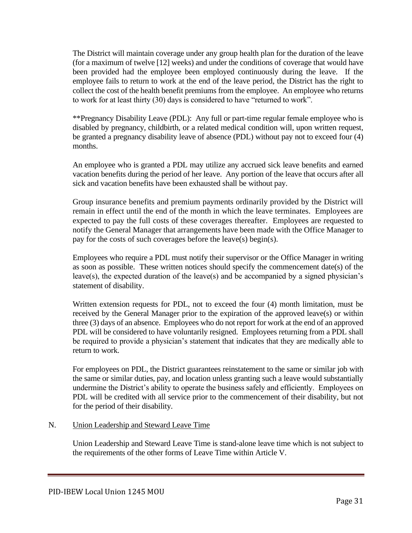The District will maintain coverage under any group health plan for the duration of the leave (for a maximum of twelve [12] weeks) and under the conditions of coverage that would have been provided had the employee been employed continuously during the leave. If the employee fails to return to work at the end of the leave period, the District has the right to collect the cost of the health benefit premiums from the employee. An employee who returns to work for at least thirty (30) days is considered to have "returned to work".

\*\*Pregnancy Disability Leave (PDL): Any full or part-time regular female employee who is disabled by pregnancy, childbirth, or a related medical condition will, upon written request, be granted a pregnancy disability leave of absence (PDL) without pay not to exceed four (4) months.

An employee who is granted a PDL may utilize any accrued sick leave benefits and earned vacation benefits during the period of her leave. Any portion of the leave that occurs after all sick and vacation benefits have been exhausted shall be without pay.

Group insurance benefits and premium payments ordinarily provided by the District will remain in effect until the end of the month in which the leave terminates. Employees are expected to pay the full costs of these coverages thereafter. Employees are requested to notify the General Manager that arrangements have been made with the Office Manager to pay for the costs of such coverages before the leave(s) begin(s).

Employees who require a PDL must notify their supervisor or the Office Manager in writing as soon as possible. These written notices should specify the commencement date(s) of the leave(s), the expected duration of the leave(s) and be accompanied by a signed physician's statement of disability.

Written extension requests for PDL, not to exceed the four (4) month limitation, must be received by the General Manager prior to the expiration of the approved leave(s) or within three (3) days of an absence. Employees who do not report for work at the end of an approved PDL will be considered to have voluntarily resigned. Employees returning from a PDL shall be required to provide a physician's statement that indicates that they are medically able to return to work.

For employees on PDL, the District guarantees reinstatement to the same or similar job with the same or similar duties, pay, and location unless granting such a leave would substantially undermine the District's ability to operate the business safely and efficiently. Employees on PDL will be credited with all service prior to the commencement of their disability, but not for the period of their disability.

## N. Union Leadership and Steward Leave Time

Union Leadership and Steward Leave Time is stand-alone leave time which is not subject to the requirements of the other forms of Leave Time within Article V.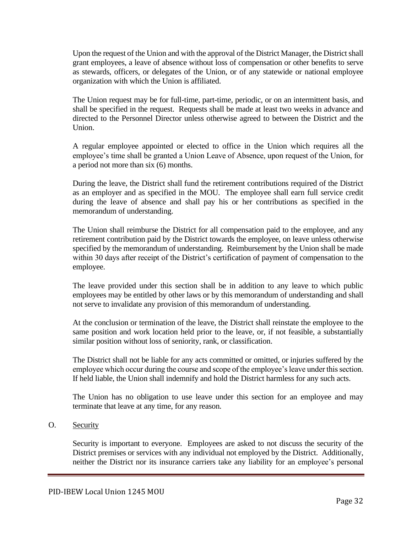Upon the request of the Union and with the approval of the District Manager, the District shall grant employees, a leave of absence without loss of compensation or other benefits to serve as stewards, officers, or delegates of the Union, or of any statewide or national employee organization with which the Union is affiliated.

The Union request may be for full-time, part-time, periodic, or on an intermittent basis, and shall be specified in the request. Requests shall be made at least two weeks in advance and directed to the Personnel Director unless otherwise agreed to between the District and the Union.

A regular employee appointed or elected to office in the Union which requires all the employee's time shall be granted a Union Leave of Absence, upon request of the Union, for a period not more than six (6) months.

During the leave, the District shall fund the retirement contributions required of the District as an employer and as specified in the MOU. The employee shall earn full service credit during the leave of absence and shall pay his or her contributions as specified in the memorandum of understanding.

The Union shall reimburse the District for all compensation paid to the employee, and any retirement contribution paid by the District towards the employee, on leave unless otherwise specified by the memorandum of understanding. Reimbursement by the Union shall be made within 30 days after receipt of the District's certification of payment of compensation to the employee.

The leave provided under this section shall be in addition to any leave to which public employees may be entitled by other laws or by this memorandum of understanding and shall not serve to invalidate any provision of this memorandum of understanding.

At the conclusion or termination of the leave, the District shall reinstate the employee to the same position and work location held prior to the leave, or, if not feasible, a substantially similar position without loss of seniority, rank, or classification.

The District shall not be liable for any acts committed or omitted, or injuries suffered by the employee which occur during the course and scope of the employee's leave under this section. If held liable, the Union shall indemnify and hold the District harmless for any such acts.

The Union has no obligation to use leave under this section for an employee and may terminate that leave at any time, for any reason.

## O. Security

Security is important to everyone. Employees are asked to not discuss the security of the District premises or services with any individual not employed by the District. Additionally, neither the District nor its insurance carriers take any liability for an employee's personal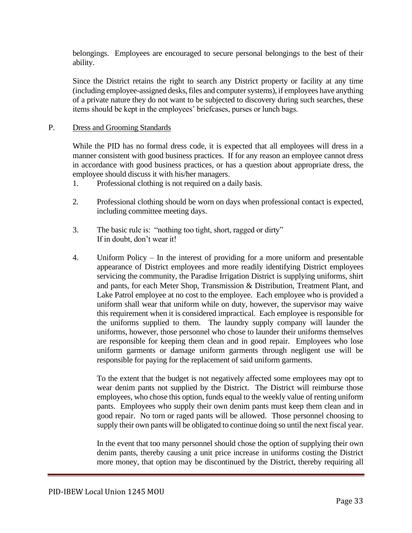belongings. Employees are encouraged to secure personal belongings to the best of their ability.

Since the District retains the right to search any District property or facility at any time (including employee-assigned desks, files and computer systems), if employees have anything of a private nature they do not want to be subjected to discovery during such searches, these items should be kept in the employees' briefcases, purses or lunch bags.

#### P. Dress and Grooming Standards

While the PID has no formal dress code, it is expected that all employees will dress in a manner consistent with good business practices. If for any reason an employee cannot dress in accordance with good business practices, or has a question about appropriate dress, the employee should discuss it with his/her managers.

- 1. Professional clothing is not required on a daily basis.
- 2. Professional clothing should be worn on days when professional contact is expected, including committee meeting days.
- 3. The basic rule is: "nothing too tight, short, ragged or dirty" If in doubt, don't wear it!
- 4. Uniform Policy In the interest of providing for a more uniform and presentable appearance of District employees and more readily identifying District employees servicing the community, the Paradise Irrigation District is supplying uniforms, shirt and pants, for each Meter Shop, Transmission & Distribution, Treatment Plant, and Lake Patrol employee at no cost to the employee. Each employee who is provided a uniform shall wear that uniform while on duty, however, the supervisor may waive this requirement when it is considered impractical. Each employee is responsible for the uniforms supplied to them. The laundry supply company will launder the uniforms, however, those personnel who chose to launder their uniforms themselves are responsible for keeping them clean and in good repair. Employees who lose uniform garments or damage uniform garments through negligent use will be responsible for paying for the replacement of said uniform garments.

To the extent that the budget is not negatively affected some employees may opt to wear denim pants not supplied by the District. The District will reimburse those employees, who chose this option, funds equal to the weekly value of renting uniform pants. Employees who supply their own denim pants must keep them clean and in good repair. No torn or raged pants will be allowed. Those personnel choosing to supply their own pants will be obligated to continue doing so until the next fiscal year.

In the event that too many personnel should chose the option of supplying their own denim pants, thereby causing a unit price increase in uniforms costing the District more money, that option may be discontinued by the District, thereby requiring all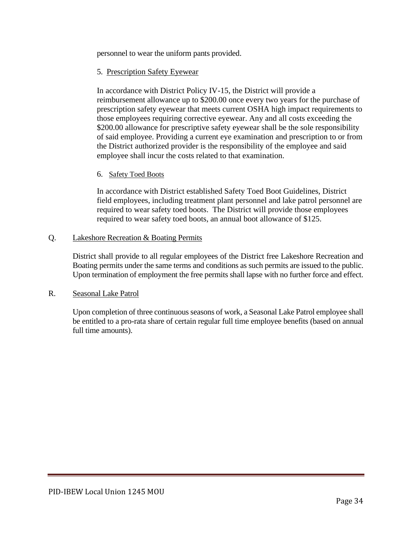personnel to wear the uniform pants provided.

## 5. Prescription Safety Eyewear

In accordance with District Policy IV-15, the District will provide a reimbursement allowance up to \$200.00 once every two years for the purchase of prescription safety eyewear that meets current OSHA high impact requirements to those employees requiring corrective eyewear. Any and all costs exceeding the \$200.00 allowance for prescriptive safety eyewear shall be the sole responsibility of said employee. Providing a current eye examination and prescription to or from the District authorized provider is the responsibility of the employee and said employee shall incur the costs related to that examination.

#### 6. Safety Toed Boots

In accordance with District established Safety Toed Boot Guidelines, District field employees, including treatment plant personnel and lake patrol personnel are required to wear safety toed boots. The District will provide those employees required to wear safety toed boots, an annual boot allowance of \$125.

#### Q. Lakeshore Recreation & Boating Permits

District shall provide to all regular employees of the District free Lakeshore Recreation and Boating permits under the same terms and conditions as such permits are issued to the public. Upon termination of employment the free permits shall lapse with no further force and effect.

#### R. Seasonal Lake Patrol

Upon completion of three continuous seasons of work, a Seasonal Lake Patrol employee shall be entitled to a pro-rata share of certain regular full time employee benefits (based on annual full time amounts).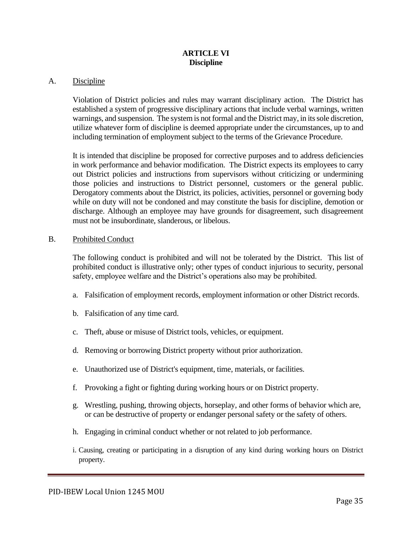#### **ARTICLE VI Discipline**

#### A. Discipline

Violation of District policies and rules may warrant disciplinary action. The District has established a system of progressive disciplinary actions that include verbal warnings, written warnings, and suspension. The system is not formal and the District may, in its sole discretion, utilize whatever form of discipline is deemed appropriate under the circumstances, up to and including termination of employment subject to the terms of the Grievance Procedure.

It is intended that discipline be proposed for corrective purposes and to address deficiencies in work performance and behavior modification. The District expects its employees to carry out District policies and instructions from supervisors without criticizing or undermining those policies and instructions to District personnel, customers or the general public. Derogatory comments about the District, its policies, activities, personnel or governing body while on duty will not be condoned and may constitute the basis for discipline, demotion or discharge. Although an employee may have grounds for disagreement, such disagreement must not be insubordinate, slanderous, or libelous.

#### B. Prohibited Conduct

The following conduct is prohibited and will not be tolerated by the District. This list of prohibited conduct is illustrative only; other types of conduct injurious to security, personal safety, employee welfare and the District's operations also may be prohibited.

- a. Falsification of employment records, employment information or other District records.
- b. Falsification of any time card.
- c. Theft, abuse or misuse of District tools, vehicles, or equipment.
- d. Removing or borrowing District property without prior authorization.
- e. Unauthorized use of District's equipment, time, materials, or facilities.
- f. Provoking a fight or fighting during working hours or on District property.
- g. Wrestling, pushing, throwing objects, horseplay, and other forms of behavior which are, or can be destructive of property or endanger personal safety or the safety of others.
- h. Engaging in criminal conduct whether or not related to job performance.
- i. Causing, creating or participating in a disruption of any kind during working hours on District property.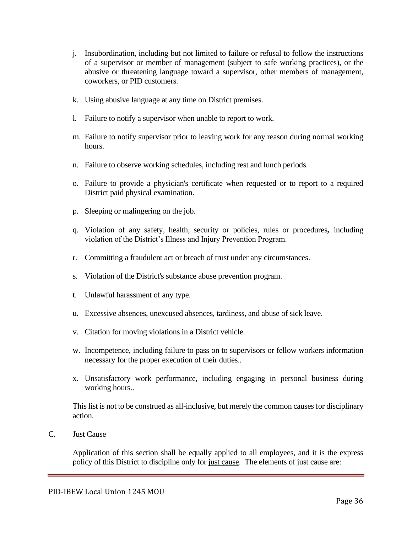- j. Insubordination, including but not limited to failure or refusal to follow the instructions of a supervisor or member of management (subject to safe working practices), or the abusive or threatening language toward a supervisor, other members of management, coworkers, or PID customers.
- k. Using abusive language at any time on District premises.
- l. Failure to notify a supervisor when unable to report to work.
- m. Failure to notify supervisor prior to leaving work for any reason during normal working hours.
- n. Failure to observe working schedules, including rest and lunch periods.
- o. Failure to provide a physician's certificate when requested or to report to a required District paid physical examination.
- p. Sleeping or malingering on the job.
- q. Violation of any safety, health, security or policies, rules or procedures*,* including violation of the District's Illness and Injury Prevention Program.
- r. Committing a fraudulent act or breach of trust under any circumstances.
- s. Violation of the District's substance abuse prevention program.
- t. Unlawful harassment of any type.
- u. Excessive absences, unexcused absences, tardiness, and abuse of sick leave.
- v. Citation for moving violations in a District vehicle.
- w. Incompetence, including failure to pass on to supervisors or fellow workers information necessary for the proper execution of their duties..
- x. Unsatisfactory work performance, including engaging in personal business during working hours..

This list is not to be construed as all-inclusive, but merely the common causes for disciplinary action.

C. Just Cause

Application of this section shall be equally applied to all employees, and it is the express policy of this District to discipline only for just cause. The elements of just cause are: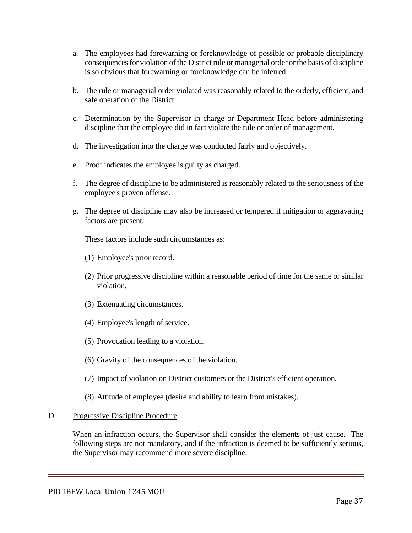- a. The employees had forewarning or foreknowledge of possible or probable disciplinary consequences for violation of the District rule or managerial order or the basis of discipline is so obvious that forewarning or foreknowledge can be inferred.
- b. The rule or managerial order violated was reasonably related to the orderly, efficient, and safe operation of the District.
- c. Determination by the Supervisor in charge or Department Head before administering discipline that the employee did in fact violate the rule or order of management.
- d. The investigation into the charge was conducted fairly and objectively.
- e. Proof indicates the employee is guilty as charged.
- f. The degree of discipline to be administered is reasonably related to the seriousness of the employee's proven offense.
- g. The degree of discipline may also be increased or tempered if mitigation or aggravating factors are present.

These factors include such circumstances as:

- (1) Employee's prior record.
- (2) Prior progressive discipline within a reasonable period of time for the same or similar violation.
- (3) Extenuating circumstances.
- (4) Employee's length of service.
- (5) Provocation leading to a violation.
- (6) Gravity of the consequences of the violation.
- (7) Impact of violation on District customers or the District's efficient operation.
- (8) Attitude of employee (desire and ability to learn from mistakes).

#### D. Progressive Discipline Procedure

When an infraction occurs, the Supervisor shall consider the elements of just cause. The following steps are not mandatory, and if the infraction is deemed to be sufficiently serious, the Supervisor may recommend more severe discipline.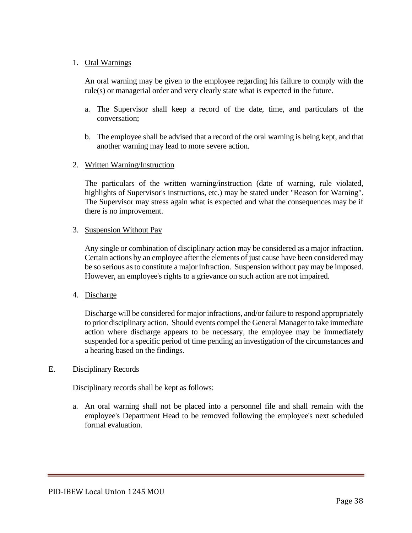#### 1. Oral Warnings

An oral warning may be given to the employee regarding his failure to comply with the rule(s) or managerial order and very clearly state what is expected in the future.

- a. The Supervisor shall keep a record of the date, time, and particulars of the conversation;
- b. The employee shall be advised that a record of the oral warning is being kept, and that another warning may lead to more severe action.

#### 2. Written Warning/Instruction

The particulars of the written warning/instruction (date of warning, rule violated, highlights of Supervisor's instructions, etc.) may be stated under "Reason for Warning". The Supervisor may stress again what is expected and what the consequences may be if there is no improvement.

#### 3. Suspension Without Pay

Any single or combination of disciplinary action may be considered as a major infraction. Certain actions by an employee after the elements of just cause have been considered may be so serious as to constitute a major infraction. Suspension without pay may be imposed. However, an employee's rights to a grievance on such action are not impaired.

## 4. Discharge

Discharge will be considered for major infractions, and/or failure to respond appropriately to prior disciplinary action. Should events compel the General Manager to take immediate action where discharge appears to be necessary, the employee may be immediately suspended for a specific period of time pending an investigation of the circumstances and a hearing based on the findings.

#### E. Disciplinary Records

Disciplinary records shall be kept as follows:

a. An oral warning shall not be placed into a personnel file and shall remain with the employee's Department Head to be removed following the employee's next scheduled formal evaluation.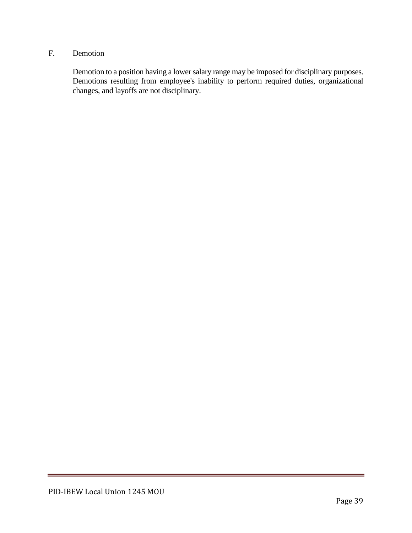# F. Demotion

Demotion to a position having a lower salary range may be imposed for disciplinary purposes. Demotions resulting from employee's inability to perform required duties, organizational changes, and layoffs are not disciplinary.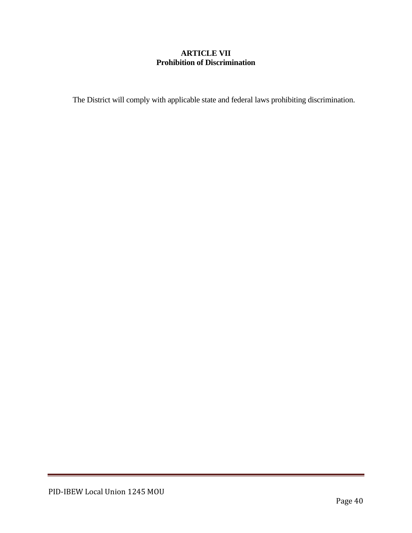## **ARTICLE VII Prohibition of Discrimination**

The District will comply with applicable state and federal laws prohibiting discrimination.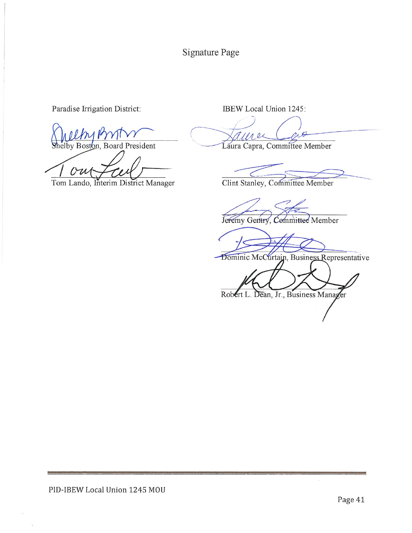Signature Page

Paradise Irrigation District:

by Boston, Board President

Tom Lando, Interim District Manager

IBEW Local Union 1245:

 $18$ 

Laura Capra, Committee Member

Clint Stanley, Committee Member

Jeremy Gentry, Committee Member

Dominic McCurtain, Business Representative

Robert L. Dean, Jr., Business Manager

PID-IBEW Local Union 1245 MOU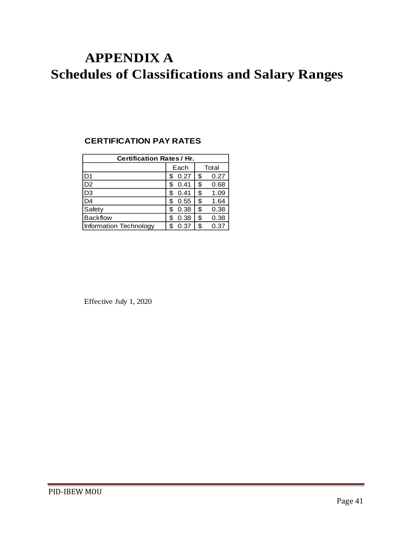# **APPENDIX A Schedules of Classifications and Salary Ranges**

## **CERTIFICATION PAY RATES**

| <b>Certification Rates/Hr.</b> |           |    |       |  |  |  |
|--------------------------------|-----------|----|-------|--|--|--|
|                                | Each      |    | Total |  |  |  |
| D <sub>1</sub>                 | 0.27      | \$ | 0.27  |  |  |  |
| D <sub>2</sub>                 | 0.41<br>S | \$ | 0.68  |  |  |  |
| D <sub>3</sub>                 | 0.41      | \$ | 1.09  |  |  |  |
| D <sub>4</sub>                 | 0.55<br>S | \$ | 1.64  |  |  |  |
| Safety                         | 0.38<br>S | \$ | 0.38  |  |  |  |
| <b>Backflow</b>                | 0.38<br>S | \$ | 0.38  |  |  |  |
| Information Technology         | 0.37      | \$ | 0.37  |  |  |  |

Effective July 1, 2020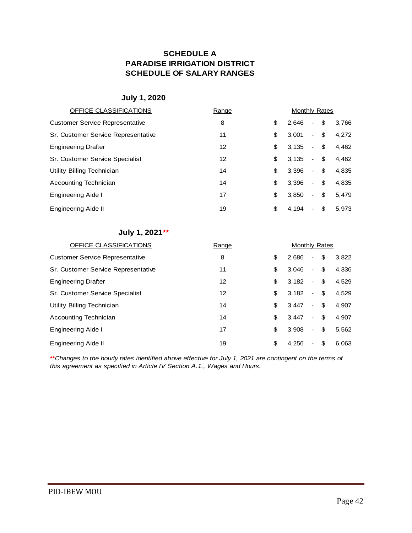## **SCHEDULE A PARADISE IRRIGATION DISTRICT SCHEDULE OF SALARY RANGES**

## **July 1, 2020**

| OFFICE CLASSIFICATIONS                 | Range | Monthly Rates |                          |     |       |
|----------------------------------------|-------|---------------|--------------------------|-----|-------|
| <b>Customer Service Representative</b> | 8     | \$<br>2.646   | $\overline{\phantom{a}}$ | \$  | 3.766 |
| Sr. Customer Service Representative    | 11    | \$<br>3,001   | $\sim$                   | \$  | 4,272 |
| <b>Engineering Drafter</b>             | 12    | \$<br>3.135   | $\blacksquare$           | \$  | 4,462 |
| <b>Sr. Customer Service Specialist</b> | 12    | \$<br>3.135   | $\overline{\phantom{a}}$ | \$  | 4,462 |
| Utility Billing Technician             | 14    | \$<br>3.396   | $\overline{\phantom{a}}$ | \$  | 4.835 |
| Accounting Technician                  | 14    | \$<br>3.396   | $\overline{\phantom{a}}$ | \$  | 4,835 |
| <b>Engineering Aide I</b>              | 17    | \$<br>3.850   | $\overline{\phantom{a}}$ | \$  | 5.479 |
| Engineering Aide II                    | 19    | \$<br>4.194   | ۰                        | -SG | 5.973 |

#### **July 1, 2021\*\***

| OFFICE CLASSIFICATIONS                 | Range | Monthly Rates |                          |     |       |
|----------------------------------------|-------|---------------|--------------------------|-----|-------|
| <b>Customer Service Representative</b> | 8     | \$<br>2.686   | $\overline{\phantom{a}}$ | \$  | 3,822 |
| Sr. Customer Service Representative    | 11    | \$<br>3.046   | $\sim$                   | \$  | 4.336 |
| <b>Engineering Drafter</b>             | 12    | \$<br>3.182   | $\sim$                   | -\$ | 4,529 |
| Sr. Customer Service Specialist        | 12    | \$<br>3.182   | $\sim$                   | -\$ | 4,529 |
| Utility Billing Technician             | 14    | \$<br>3.447   | $\blacksquare$           | -\$ | 4,907 |
| Accounting Technician                  | 14    | \$<br>3.447   | $\sim$                   | \$  | 4.907 |
| <b>Engineering Aide I</b>              | 17    | \$<br>3.908   | $\blacksquare$           | \$  | 5,562 |
| Engineering Aide II                    | 19    | \$<br>4.256   | ٠                        | \$  | 6.063 |

**\*\****Changes to the hourly rates identified above effective for July 1, 2021 are contingent on the terms of this agreement as specified in Article IV Section A.1., Wages and Hours.*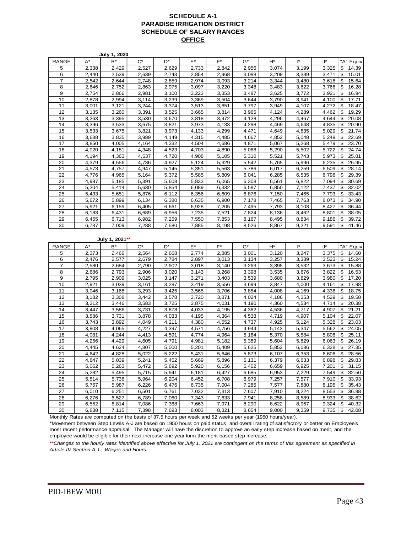#### **SCHEDULE A-1 PARADISE IRRIGATION DISTRICT SCHEDULE OF SALARY RANGES OFFICE**

|                |                | <b>July 1, 2020</b> |                |                |                |                      |                |                |                |                |                            |
|----------------|----------------|---------------------|----------------|----------------|----------------|----------------------|----------------|----------------|----------------|----------------|----------------------------|
| <b>RANGE</b>   | A*             | B*                  | $C^*$          | D*             | E*             | F*                   | G*             | H*             | l*             | J*             | "A" Equiv                  |
| 5              | 2,338          | 2,429               | 2,527          | 2,629          | 2,733          | 2,842                | 2,956          | 3,074          | 3,199          | 3,325          | 14.39<br>\$                |
| 6              | 2,440          | 2,539               | 2,639          | 2,743          | 2,854          | 2,968                | 3,088          | 3,209          | 3,339          | 3,471          | \$<br>15.01                |
| $\overline{7}$ | 2,542          | 2,644               | 2,748          | 2,859          | 2,974          | 3,093                | 3,214          | 3,344          | 3,480          | 3,618          | 15.64<br>\$                |
| 8              | 2,646          | 2,752               | 2,863          | 2,975          | 3,097          | 3,220                | 3,348          | 3,483          | 3,622          | 3,766          | \$<br>16.28                |
| 9              | 2,754          | 2,866               | 2,981          | 3,100          | 3,223          | 3,353                | 3,487          | 3,625          | 3,772          | 3,921          | 16.94<br>\$                |
| 10             | 2,878          | 2,994               | 3,114          | 3,239          | 3,369          | 3,504                | 3,644          | 3,790          | 3,941          | 4,100          | \$<br>17.71                |
| 11             | 3,001          | 3,121               | 3,244          | 3,374          | 3,513          | 3,651                | 3,797          | 3,949          | 4,107          | 4,272          | \$<br>18.47                |
| 12             | 3,135          | 3,260               | 3,391          | 3,525          | 3,665          | 3,814                | 3,965          | 4,124          | 4,289          | 4,462          | \$<br>19.29                |
| 13             | 3,263          | 3,395               | 3,530          | 3,670          | 3,818          | 3,972                | 4,128          | 4,296          | 4,467          | 4,644          | 20.08<br>\$                |
| 14             | 3,396          | 3,533               | 3,675          | 3,821          | 3,973          | 4,133                | 4,298          | 4,469          | 4,648          | 4,835          | \$<br>20.90                |
| 15             | 3,533          | 3,675               | 3,821          | 3,973          | 4,133          | 4,299                | 4,471          | 4,649          | 4,835          | 5,029          | \$<br>21.74                |
| 16             | 3,688          | 3,835               | 3,989          | 4,149          | 4,315          | 4,485                | 4,667          | 4,852          | 5,048          | 5,249          | \$<br>22.69                |
| 17             | 3,850          | 4,005               | 4,164          | 4,332          | 4,504          | 4,686                | 4,871          | 5,067          | 5,268          | 5,479          | \$<br>23.70                |
| 18             | 4,020          | 4,181               | 4,348          | 4,523          | 4,703          | 4,890                | 5,088          | 5,290          | 5,502          | 5,722          | \$<br>24.74                |
| 19             | 4,194          | 4,363               | 4,537          | 4,720          | 4,908          | $\overline{5}$ , 105 | 5,310          | 5,521          | 5,743          | 5,973          | \$<br>25.81                |
| 20             | 4,379          | 4,556               | 4,736          | 4,927          | 5,124          | 5,329                | 5,542          | 5,765          | 5,996          | 6,235          | \$<br>26.95                |
| 21             | 4,573          | 4,757               | 4,947          | 5,145          | 5,351          | 5,563                | 5,786          | 6,017          | 6,259          | 6,509          | 28.14<br>\$                |
| 22             | 4,776          | 4,965               | 5,164          | 5,372          | 5,585          | 5,809                | 6,041          | 6,285          | 6,535          | 6,796          | \$<br>29.39                |
| 23             | 4,987          | 5,185               | 5,391          | 5,608          | 5,833          | 6,065                | 6,308          | 6,561          | 6,822          | 7,094          | \$<br>30.69                |
| 24             | 5,204          | 5,414               | 5,630          | 5,854          | 6,089          | 6,332                | 6,587          | 6,850          | 7,122          | 7,437          | \$<br>32.02                |
| 25             | 5,433          | 5,651               | 5,876          | 6,112          | 6,356          | 6,609                | 6,876          | 7,150          | 7,465          | 7,793          | \$<br>33.43                |
| 26             | 5,672          | 5,899               | 6,134          | 6,380          | 6,635          | 6,900                | 7,178          | 7,465          | 7,763          | 8,073          | \$<br>34.90                |
| 27             | 5,921          | 6,159               | 6,405          | 6,661          | 6,928          | 7,205                | 7,495          | 7,793          | 8,103          | 8,427          | \$<br>36.44                |
| 28             | 6,183          | 6,431               | 6,689          | 6,956          | 7,235          | 7,521                | 7,824          | 8,136          | 8,462          | 8,801          | \$<br>38.05                |
| 29             | 6,455          | 6,713               | 6,982          | 7,259          | 7,550          | 7,853                | 8,167          | 8,495          | 8,834          | 9,186          | \$<br>39.72                |
| 30             | 6,737          | 7,009               | 7,288          | 7,580          | 7,885          | 8,198                | 8,526          | 8,867          | 9,221          | 9,591          | \$<br>41.46                |
|                |                |                     |                |                |                |                      |                |                |                |                |                            |
|                |                |                     |                |                |                |                      |                |                |                |                |                            |
|                |                | July 1, 2021**      |                |                |                |                      |                |                |                |                |                            |
|                |                |                     | $C^*$          | D*             |                | F*                   |                |                | l*             |                |                            |
| <b>RANGE</b>   | A*             | B*                  |                |                | E*             |                      | G*             | H*             |                | J*             | "A" Equiv                  |
| 5              | 2,373          | 2,466               | 2,564          | 2,668          | 2,774          | 2,885                | 3,001          | 3,120          | 3,247          | 3,375          | \$<br>14.60                |
| 6              | 2,476          | 2,577               | 2,679          | 2,784          | 2,897          | 3,013                | 3,134          | 3,257          | 3,389          | 3,523          | \$<br>15.24                |
| $\overline{7}$ | 2,580          | 2,684               | 2,790          | 2,902          | 3,018          | 3,140                | 3,263          | 3,395          | 3,532          | 3,673          | \$<br>15.88                |
| 8<br>9         | 2,686<br>2,795 | 2,793<br>2,909      | 2,906<br>3,025 | 3,020<br>3,147 | 3,143<br>3,271 | 3,268<br>3,403       | 3,398<br>3,539 | 3,535<br>3,680 | 3,676<br>3,829 | 3,822<br>3,980 | \$<br>16.53<br>\$<br>17.20 |
| 10             | 2,921          | 3,039               | 3,161          | 3,287          |                |                      | 3,699          | 3,847          | 4,000          |                | \$                         |
| 11             | 3,046          | 3,168               | 3,293          | 3,425          | 3,419<br>3,565 | 3,556<br>3,706       | 3,854          | 4,008          | 4,169          | 4,161<br>4,336 | 17.98<br>\$<br>18.75       |
| 12             | 3,182          | 3,308               | 3,442          | 3,578          | 3,720          | 3,871                | 4,024          | 4,186          | 4,353          | 4,529          | \$<br>19.58                |
| 13             | 3,312          | 3,446               | 3,583          | 3,725          | 3,875          | 4,031                | 4,190          | 4,360          | 4,534          | 4,714          | 20.38<br>\$                |
| 14             | 3,447          | 3,586               | 3,731          | 3,878          | 4,033          | 4,195                | 4,362          | 4,536          | 4,717          | 4,907          | \$<br>21.21                |
| 15             | 3,586          | 3,731               | 3,878          | 4,033          | 4,195          | 4,364                | 4,538          | 4,719          | 4,907          | 5,104          | \$<br>22.07                |
| 16             | 3,743          | 3,892               | 4,049          | 4,211          | 4,380          | 4,552                | 4,737          | 4,925          | 5,124          | 5,328          | 23.03<br>\$                |
| 17             | 3,908          | 4,065               | 4,227          | 4,397          | 4,571          | 4,756                | 4,944          | 5,143          | 5,347          | 5,562          | \$<br>24.05                |
| 18             | 4,081          | 4,244               | 4,413          | 4,591          | 4,774          | 4,964                | 5,164          | 5,370          | 5,584          | 5,808          | \$<br>25.11                |
| 19             | 4,256          | 4,429               | 4.605          | 4,791          | 4,981          | 5,182                | 5,389          | 5,604          | 5,829          | 6,063          | \$<br>26.19                |
| 20             | 4,445          | 4,624               | 4,807          | 5,000          | 5,201          | 5,409                | 5,625          | 5,852          | 6,086          | 6,328          | \$<br>27.35                |
| 21             | 4,642          | 4,828               | 5.022          | 5,222          | 5,431          | 5,646                | 5,873          | 6,107          | 6,353          | 6.606          | \$<br>28.56                |
| 22             | 4,847          | 5,039               | 5,241          | 5,452          | 5,669          | 5,896                | 6,131          | 6,379          | 6,633          | 6,898          | \$<br>29.83                |
| 23             | 5,062          | 5,263               | 5,472          | 5,692          | 5,920          | 6,156                | 6,402          | 6,659          | 6,925          | 7,201          | \$<br>31.15                |
| 24             | 5,282          | 5,495               | 5,715          | 5,941          | 6,181          | 6,427                | 6,685          | 6,953          | 7,229          | 7,549          | 32.50<br>\$                |
| 25             | 5,514          | 5,736               | 5,964          | 6,204          | 6,452          | 6,708                | 6,979          | 7,257          | 7,577          | 7,910          | \$<br>33.93                |
| 26             | 5,757          | 5,987               | 6,226          | 6,476          | 6,735          | 7,004                | 7,285          | 7,577          | 7,880          | 8,195          | 35.43<br>\$                |
| 27             | 6,010          | 6,251               | 6,501          | 6,761          | 7,032          | 7,313                | 7,607          | 7,910          | 8,224          | 8,553          | \$<br>36.98                |
| 28             | 6,276          | 6,527               | 6,789          | 7,060          | 7,343          | 7,633                | 7,941          | 8,258          | 8,589          | 8,933          | \$<br>38.62                |
| 29             | 6,552          | 6,814               | 7,086          | 7,368          | 7,663          | 7,971                | 8,290          | 8,622          | 8,967          | 9,324          | \$<br>40.32<br>\$          |

Monthly Rates are computed on the basis of 37.5 hours per week and 52 weeks per year (1950 hours/year).

\*Movement between Step Levels A-J are based on 1950 hours on paid status, and overall rating of satisfactory or better on Employee's most recent performance appraisal. The Manager will have the discretion to approve an early step increase based on merit, and the employee would be eligible for their next increase one year form the merit based step increase.

**\*\****Changes to the hourly rates identified above effective for July 1, 2021 are contingent on the terms of this agreement as specified in Article IV Section A.1., Wages and Hours.*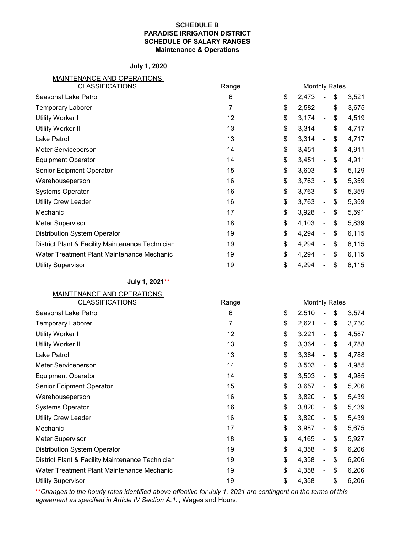#### **SCHEDULE B PARADISE IRRIGATION DISTRICT SCHEDULE OF SALARY RANGES Maintenance & Operations**

#### **July 1, 2020**

| MAINTENANCE AND OPERATIONS |
|----------------------------|
|----------------------------|

| <b>CLASSIFICATIONS</b>                           | <b>Range</b> | <b>Monthly Rates</b> |                          |             |
|--------------------------------------------------|--------------|----------------------|--------------------------|-------------|
| Seasonal Lake Patrol                             | 6            | \$<br>2,473          |                          | \$<br>3,521 |
| <b>Temporary Laborer</b>                         | 7            | \$<br>2,582          | $\overline{\phantom{0}}$ | \$<br>3,675 |
| <b>Utility Worker I</b>                          | 12           | \$<br>3,174          | $\overline{\phantom{a}}$ | \$<br>4,519 |
| <b>Utility Worker II</b>                         | 13           | \$<br>3,314          | $\blacksquare$           | \$<br>4,717 |
| Lake Patrol                                      | 13           | \$<br>3,314          | $\overline{\phantom{a}}$ | \$<br>4,717 |
| Meter Serviceperson                              | 14           | \$<br>3,451          | Ξ.                       | \$<br>4,911 |
| <b>Equipment Operator</b>                        | 14           | \$<br>3,451          | ä,                       | \$<br>4,911 |
| Senior Eqipment Operator                         | 15           | \$<br>3,603          | ٠                        | \$<br>5,129 |
| Warehouseperson                                  | 16           | \$<br>3,763          | $\blacksquare$           | \$<br>5,359 |
| <b>Systems Operator</b>                          | 16           | \$<br>3,763          | $\overline{\phantom{a}}$ | \$<br>5,359 |
| <b>Utility Crew Leader</b>                       | 16           | \$<br>3,763          | $\overline{\phantom{a}}$ | \$<br>5,359 |
| Mechanic                                         | 17           | \$<br>3,928          | $\blacksquare$           | \$<br>5,591 |
| <b>Meter Supervisor</b>                          | 18           | \$<br>4,103          | $\blacksquare$           | \$<br>5,839 |
| <b>Distribution System Operator</b>              | 19           | \$<br>4,294          | ÷,                       | \$<br>6,115 |
| District Plant & Facility Maintenance Technician | 19           | \$<br>4,294          | $\blacksquare$           | \$<br>6,115 |
| Water Treatment Plant Maintenance Mechanic       | 19           | \$<br>4,294          | ٠                        | \$<br>6,115 |
| <b>Utility Supervisor</b>                        | 19           | \$<br>4,294          |                          | \$<br>6,115 |

**July 1, 2021\*\***

| MAINTENANCE AND OPERATIONS                       |       |                      |                          |             |
|--------------------------------------------------|-------|----------------------|--------------------------|-------------|
| <b>CLASSIFICATIONS</b>                           | Range | <b>Monthly Rates</b> |                          |             |
| Seasonal Lake Patrol                             | 6     | \$<br>2,510          |                          | \$<br>3,574 |
| <b>Temporary Laborer</b>                         | 7     | \$<br>2,621          | ٠                        | \$<br>3,730 |
| <b>Utility Worker I</b>                          | 12    | \$<br>3,221          | $\blacksquare$           | \$<br>4,587 |
| <b>Utility Worker II</b>                         | 13    | \$<br>3,364          | $\blacksquare$           | \$<br>4,788 |
| Lake Patrol                                      | 13    | \$<br>3,364          | $\overline{\phantom{a}}$ | \$<br>4,788 |
| Meter Serviceperson                              | 14    | \$<br>3,503          | $\blacksquare$           | \$<br>4,985 |
| <b>Equipment Operator</b>                        | 14    | \$<br>3,503          | $\blacksquare$           | \$<br>4,985 |
| Senior Eqipment Operator                         | 15    | \$<br>3,657          | ۰                        | \$<br>5,206 |
| Warehouseperson                                  | 16    | \$<br>3,820          | ۰                        | \$<br>5,439 |
| <b>Systems Operator</b>                          | 16    | \$<br>3,820          | ۰                        | \$<br>5,439 |
| <b>Utility Crew Leader</b>                       | 16    | \$<br>3,820          | ÷,                       | \$<br>5,439 |
| Mechanic                                         | 17    | \$<br>3,987          | $\overline{\phantom{0}}$ | \$<br>5,675 |
| Meter Supervisor                                 | 18    | \$<br>4,165          | $\overline{\phantom{0}}$ | \$<br>5,927 |
| <b>Distribution System Operator</b>              | 19    | \$<br>4,358          | $\blacksquare$           | \$<br>6,206 |
| District Plant & Facility Maintenance Technician | 19    | \$<br>4,358          | $\blacksquare$           | \$<br>6,206 |
| Water Treatment Plant Maintenance Mechanic       | 19    | \$<br>4,358          | Ξ.                       | \$<br>6,206 |
| <b>Utility Supervisor</b>                        | 19    | \$<br>4,358          |                          | \$<br>6,206 |

**\*\****Changes to the hourly rates identified above effective for July 1, 2021 are contingent on the terms of this agreement as specified in Article IV Section A.1.* , Wages and Hours.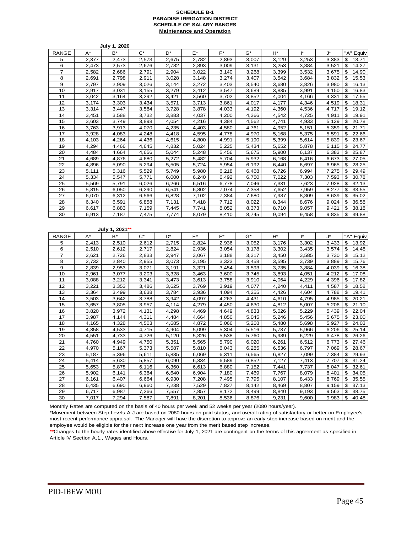#### **SCHEDULE B-1 PARADISE IRRIGATION DISTRICT SCHEDULE OF SALARY RANGES Maintenance and Operation**

|                |                    | July 1, 2020   |                    |                |                |                |                    |                |                |                |                            |
|----------------|--------------------|----------------|--------------------|----------------|----------------|----------------|--------------------|----------------|----------------|----------------|----------------------------|
| RANGE          | A*                 | $B^*$          | $C^*$              | D*             | $E^*$          | F*             | G*                 | H*             | I*             | J*             | "A" Equiv                  |
| 5              | 2,377              | 2,473          | 2,573              | 2,675          | 2,782          | 2,893          | 3,007              | 3.129          | 3.253          | 3,383          | \$<br>13.71                |
| 6              | 2,473              | 2,573          | 2,676              | 2,782          | 2,893          | 3,009          | 3,131              | 3,253          | 3,384          | 3,521          | \$<br>14.27                |
| $\overline{7}$ | 2,582              | 2,686          | 2,791              | 2,904          | 3,022          | 3,140          | 3,268              | 3,399          | 3,532          | 3,675          | \$<br>14.90                |
| 8              | 2,691              | 2,798          | 2,911              | 3,028          | 3,148          | 3,274          | 3,407              | 3,542          | 3,684          | 3,832          | \$<br>15.53                |
| 9              | 2,797              | 2,909          | 3,026              | 3,144          | 3,272          | 3,403          | 3,540              | 3,680          | 3,826          | 3,980          | 16.13<br>\$                |
| 10             | 2,917              | 3,031          | 3,155              | 3,279          | 3,412          | 3,547          | 3,689              | 3,835          | 3,991          | 4,150          | \$<br>16.83                |
| 11             | 3,042              | 3,164          | 3,292              | 3,421          | 3,560          | 3,702          | 3,852              | 4,004          | 4,166          | 4,331          | \$<br>17.55                |
| 12             | 3,174              | 3,303          | 3,434              | 3,571          | 3,713          | 3,861          | 4,017              | 4,177          | 4,346          | 4,519          | \$<br>18.31                |
| 13             | 3,314              | 3,447          | 3,584              | 3,728          | 3,878          | 4,033          | 4,192              | 4,360          | 4,536          | 4,717          | 19.12<br>\$                |
| 14             | 3,451              | 3,588          | 3,732              | 3,883          | 4,037          | 4,200          | 4,366              | 4,542          | 4,725          | 4,911          | \$<br>19.91                |
| 15             | 3,603              | 3,749          | 3,898              | 4,054<br>4,235 | 4,216          | 4,384          | 4,562              | 4,741          | 4,933          | 5,129<br>5,359 | 20.78<br>\$<br>21.71       |
| 16<br>17       | 3,763<br>3,928     | 3,913<br>4,083 | 4,070<br>4,248     | 4,418          | 4,403<br>4,595 | 4,580<br>4,778 | 4,761<br>4,970     | 4,952<br>5,168 | 5,151<br>5,375 | 5,591          | \$<br>\$<br>22.66          |
| 18             | 4,103              | 4,264          | 4,436              | 4,615          | 4,800          | 4,991          | 5,190              | 5,399          | 5,614          | 5,839          | \$<br>23.67                |
| 19             | 4,294              | 4,466          | 4,645              | 4,832          | 5,024          | 5,225          | 5,434              | 5,652          | 5,878          | 6,115          | 24.77<br>\$                |
| 20             | 4,484              | 4,664          | 4,656              | 5,044          | 5,248          | 5,456          | 5,675              | 5,900          | 6,137          | 6,383          | 25.87<br>\$                |
| 21             | 4,689              | 4,876          | 4,680              | 5,272          | 5,482          | 5,704          | 5,932              | 6,168          | 6,416          | 6,673          | \$<br>27.05                |
| 22             | 4,896              | 5,090          | 5,294              | 5,505          | 5,724          | 5,954          | 6,192              | 6,440          | 6,697          | 6,965          | 28.25<br>\$                |
| 23             | 5,111              | 5,316          | 5,529              | 5,749          | 5,980          | 6,218          | 6,468              | 6,726          | 6,994          | 7,275          | $\overline{29.49}$<br>\$   |
| 24             | 5,334              | 5,547          | 5,771              | 6,000          | 6,240          | 6,492          | 6,750              | 7,022          | 7,303          | 7,593          | \$<br>30.78                |
| 25             | 5,569              | 5,791          | 6,026              | 6,266          | 6,516          | 6,778          | 7,046              | 7,331          | 7,623          | 7,928          | \$<br>32.13                |
| 26             | 5,815              | 6,050          | 6,290              | 6,541          | 6,802          | 7,074          | 7,358              | 7,652          | 7,959          | 8,277          | \$<br>33.55                |
| 27             | 6,070              | 6,312          | 6,566              | 6,828          | 7,102          | 7,384          | 7,680              | 7,987          | 8,309          | 8,639          | \$<br>35.02                |
| 28             | 6,340              | 6,591          | 6,858              | 7,131          | 7,418          | 7,712          | 8,022              | 8,344          | 8,676          | 9,024          | \$<br>36.58                |
| 29             | 6,617              | 6,883          | 7,159              | 7,445          | 7,741          | 8,052          | 8,373              | 8,710          | 9,057          | 9,421          | \$<br>38.18                |
| 30             | 6,913              | 7,187          | 7,475              | 7,774          | 8,079          | 8,410          | 8,745              | 9,094          | 9,458          | 9,835          | \$<br>39.88                |
|                |                    | July 1, 2021** |                    |                |                |                |                    |                |                |                |                            |
| <b>RANGE</b>   | $\mathsf{A}^\star$ | $B^*$          | $\mathrm{C}^\star$ | D*             | E*             | $F^*$          | $\mathsf{G}^\star$ | H*             | ľ*             | J*             | "A" Equiv                  |
| 5              | 2,413              | 2,510          | 2,612              | 2,715          | 2,824          | 2,936          | 3,052              | 3,176          | 3,302          | 3,433          | 13.92<br>\$                |
| 6              | 2,510              | 2,612          | 2,717              | 2,824          | 2,936          | 3,054          | 3,178              | 3,302          | 3,435          | 3,574          | \$<br>14.48                |
| 7              | 2,621              | 2,726          | 2,833              | 2,947          | 3,067          | 3,188          | 3,317              | 3,450          | 3,585          | 3,730          | 15.12<br>\$                |
| 8              | 2,732              | 2,840          | 2,955              | 3,073          | 3,195          | 3,323          | 3,458              | 3,595          | 3,739          | 3,889          | \$<br>15.76                |
| 9              | 2,839              | 2,953          | 3,071              | 3,191          | 3,321          | 3,454          | 3,593              | 3,735          | 3,884          | 4,039          | 16.38<br>\$                |
| 10             | 2,961              | 3,077          | 3,203              | 3,328          | 3,463          | 3,600          | 3,745              | 3,893          | 4,051          | 4,212          | \$<br>17.08                |
| 11<br>12       | 3,088              | 3,212          | 3,341              | 3,473<br>3,625 | 3,613          | 3,758          | 3,910              | 4,064<br>4,240 | 4,229<br>4,411 | 4,396          | 17.82<br>\$<br>18.58       |
|                | 3,221              | 3,353          | 3,486              |                | 3,769          | 3,919          | 4,077              |                |                | 4,587          | \$                         |
| 13<br>14       | 3,364<br>3,503     | 3,499<br>3,642 | 3,638<br>3,788     | 3,784<br>3,942 | 3,936<br>4,097 | 4,094<br>4,263 | 4,255<br>4,431     | 4,426<br>4,610 | 4,604<br>4,795 | 4,788<br>4,985 | \$<br>19.41<br>\$<br>20.21 |
| 15             | 3,657              | 3,805          | 3,957              | 4,114          | 4,279          | 4,450          | 4,630              |                | 5,007          | 5,206          | \$<br>21.10                |
| 16             | 3,820              | 3,972          | 4,131              | 4,298          | 4,469          | 4,649          | 4,833              | 4,812<br>5,026 | 5,229          | 5,439          | \$<br>22.04                |
| 17             | 3,987              | 4,144          | 4,311              | 4,484          | 4,664          | 4,850          | 5,045              | 5,246          | 5,456          | 5,675          | \$<br>23.00                |
| 18             | 4,165              | 4,328          | 4,503              | 4,685          | 4,872          | 5,066          | 5,268              | 5,480          | 5,698          | 5,927          | \$<br>24.03                |
| 19             | 4,358              | 4,533          | 4,715              | 4,904          | 5,099          | 5,304          | 5,516              | 5,737          | 5,966          | 6,206          | \$<br>25.14                |
| 20             | 4,551              | 4,733          | 4,726              | 5,120          | 5,326          | 5,538          | 5,760              | 5,989          | 6,229          | 6,478          | \$<br>26.26                |
| 21             | 4,760              | 4,949          | 4,750              | 5,351          | 5,565          | 5,790          | 6,020              | 6,261          | 6,512          | 6,773          | \$<br>27.46                |
| 22             | 4,970              | 5,167          | 5,373              | 5,587          | 5,810          | 6,043          | 6,285              | 6,536          | 6,797          | 7,069          | \$<br>28.67                |
| 23             | 5,187              | 5,396          | 5,611              | 5,835          | 6,069          | 6,311          | 6,565              | 6,827          | 7,099          | 7,384          | \$<br>29.93                |
| 24             | 5,414              | 5,630          | 5,857              | 6,090          | 6,334          | 6,589          | 6,852              | 7,127          | 7,413          | 7,707          | \$<br>31.24                |
| 25             | 5,653              | 5,878          | 6,116              | 6,360          | 6,613          | 6,880          | 7,152              | 7,441          | 7,737          | 8,047          | \$<br>32.61                |
| 26             | 5,902              | 6,141          | 6,384              | 6,640          | 6,904          | 7,180          | 7,469              | 7,767          | 8,079          | 8,401          | \$<br>34.05                |
| 27             | 6,161              | 6,407          | 6,664              | 6,930          | 7,208          | 7,495          | 7,795              | 8,107          | 8,433          | 8,769          | \$<br>35.55                |
| 28             | 6,435              | 6,690          | 6,960              | 7,238          | 7,529          | 7,827          | 8,142              | 8,469          | 8,807          | 9,159          | \$<br>37.13                |
| 29             | 6,717              | 6,987          | 7,266              | 7,557          | 7,857          | 8,172          | 8,499              | 8,840          | 9,193          | 9,563          | \$<br>38.75                |
| 30             | 7,017              | 7,294          | 7,587              | 7,891          | 8,201          | 8,536          | 8,876              | 9,231          | 9,600          | 9,983          | \$<br>40.48                |
|                |                    |                |                    |                |                |                |                    |                |                |                |                            |

Monthly Rates are computed on the basis of 40 hours per week and 52 weeks per year (2080 hours/year).

\*Movement between Step Levels A-J are based on 2080 hours on paid status, and overall rating of satisfactory or better on Employee's most recent performance appraisal. The Manager will have the discretion to approve an early step increase based on merit and the employee would be eligible for their next increase one year from the merit based step increase.

**\*\***Changes to the hourly rates identified above effective for July 1, 2021 are contingent on the terms of this agreement as specified in Article IV Section A.1., Wages and Hours.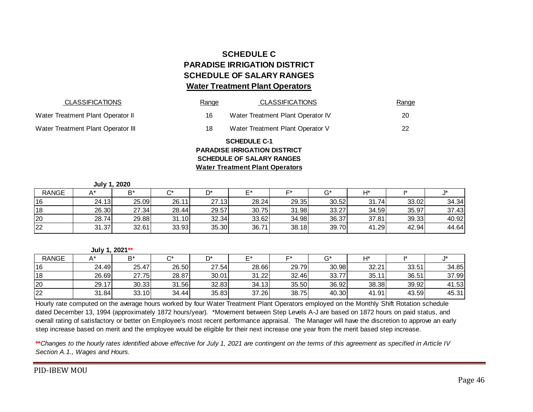# **SCHEDULE C PARADISE IRRIGATION DISTRICT SCHEDULE OF SALARY RANGES Water Treatment Plant Operators**

| <b>CLASSIFICATIONS</b>             | Range | <b>CLASSIFICATIONS</b>                                                                                                                   | Range |
|------------------------------------|-------|------------------------------------------------------------------------------------------------------------------------------------------|-------|
| Water Treatment Plant Operator II  | 16    | Water Treatment Plant Operator IV                                                                                                        | 20    |
| Water Treatment Plant Operator III | 18    | Water Treatment Plant Operator V                                                                                                         | 22    |
|                                    |       | <b>SCHEDULE C-1</b><br><b>PARADISE IRRIGATION DISTRICT</b><br><b>SCHEDULE OF SALARY RANGES</b><br><b>Water Treatment Plant Operators</b> |       |

| <b>SCHEDULE OF SALARY RANGES</b><br><b>Water Treatment Plant Operators</b> |       |                                |       |       |                                  |                                     |       |       |       |  |  |
|----------------------------------------------------------------------------|-------|--------------------------------|-------|-------|----------------------------------|-------------------------------------|-------|-------|-------|--|--|
|                                                                            |       |                                |       |       |                                  |                                     |       |       |       |  |  |
| A*                                                                         | $B^*$ | $C^*$                          | D*    | F*    | F*                               | $G^*$                               | H*    |       | 1*    |  |  |
| 24.13                                                                      |       | 26.11                          |       | 28.24 | 29.35                            | 30.52                               | 31.74 | 33.02 | 34.34 |  |  |
| 26.30                                                                      | 27.34 | 28.44                          | 29.57 | 30.75 | 31.98                            | 33.27                               | 34.59 | 35.97 | 37.43 |  |  |
| 28.74                                                                      | 29.88 | 31.10                          |       | 33.62 | 34.98                            | 36.37                               | 37.81 | 39.33 | 40.92 |  |  |
| 31.37                                                                      | 32.61 | 33.93                          |       | 36.71 | 38.18                            | 39.70                               | 41.29 | 42.94 | 44.64 |  |  |
|                                                                            |       |                                |       |       |                                  |                                     |       |       |       |  |  |
| A*                                                                         | $B^*$ | $C^*$                          | D*    | $F^*$ | F*                               | $G^*$                               | H*    | 1*    | 1*    |  |  |
| 24.49                                                                      | 25.47 | 26.50                          |       | 28.66 | 29.79                            | 30.98                               | 32.21 | 33.51 | 34.85 |  |  |
|                                                                            |       | July 1, 2020<br>July 1, 2021** | 25.09 |       | 27.13<br>32.34<br>35.30<br>27.54 | <b>PARADISE IRRIGATION DISTRICT</b> |       |       |       |  |  |

#### **July 1, 2021\*\***

| <b>RANGE</b> |       | D*    | ⌒∗    | n*    |       |       |       | H*        |       |       |
|--------------|-------|-------|-------|-------|-------|-------|-------|-----------|-------|-------|
| 16           | 24.49 | 25.47 | 26.50 | 27.54 | 28.66 | 29.79 | 30.98 | 32.21     | 33.51 | 34.85 |
| 18           | 26.69 | 27.75 | 28.87 | 30.01 | 31.22 | 32.46 | 33.77 | 35.<br>11 | 36.51 | 37.99 |
| 20           | 29.17 | 30.33 | 31.56 | 32.83 | 34.13 | 35.50 | 36.92 | 38.38     | 39.92 | 41.53 |
| 22           | 31.84 | 33.10 | 34.44 | 35.83 | 37.26 | 38.75 | 40.30 | 41.91     | 43.59 | 45.31 |

Hourly rate computed on the average hours worked by four Water Treatment Plant Operators employed on the Monthly Shift Rotation schedule dated December 13, 1994 (approximately 1872 hours/year). \*Movement between Step Levels A-J are based on 1872 hours on paid status, and overall rating of satisfactory or better on Employee's most recent performance appraisal. The Manager will have the discretion to approve an early step increase based on merit and the employee would be eligible for their next increase one year from the merit based step increase.

**\*\****Changes to the hourly rates identified above effective for July 1, 2021 are contingent on the terms of this agreement as specified in Article IV Section A.1., Wages and Hours.* 

PID -IBEW MOU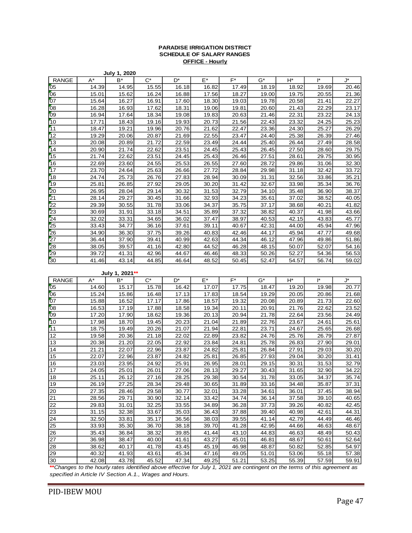#### **PARADISE IRRIGATION DISTRICT SCHEDULE OF SALARY RANGES OFFICE - Hourly**

|                 |       | July 1, 2020 |       |       |       |       |       |       |              |       |
|-----------------|-------|--------------|-------|-------|-------|-------|-------|-------|--------------|-------|
| <b>RANGE</b>    | $A^*$ | $B^*$        | $C^*$ | D*    | $E^*$ | $F^*$ | $G^*$ | H*    | <sup>*</sup> | J*    |
| 05              | 14.39 | 14.95        | 15.55 | 16.18 | 16.82 | 17.49 | 18.19 | 18.92 | 19.69        | 20.46 |
| 06              | 15.01 | 15.62        | 16.24 | 16.88 | 17.56 | 18.27 | 19.00 | 19.75 | 20.55        | 21.36 |
| 07              | 15.64 | 16.27        | 16.91 | 17.60 | 18.30 | 19.03 | 19.78 | 20.58 | 21.41        | 22.27 |
| 08              | 16.28 | 16.93        | 17.62 | 18.31 | 19.06 | 19.81 | 20.60 | 21.43 | 22.29        | 23.17 |
| 09              | 16.94 | 17.64        | 18.34 | 19.08 | 19.83 | 20.63 | 21.46 | 22.31 | 23.22        | 24.13 |
| 10              | 17.71 | 18.43        | 19.16 | 19.93 | 20.73 | 21.56 | 22.43 | 23.32 | 24.25        | 25.23 |
| 11              | 18.47 | 19.21        | 19.96 | 20.76 | 21.62 | 22.47 | 23.36 | 24.30 | 25.27        | 26.29 |
| 12              | 19.29 | 20.06        | 20.87 | 21.69 | 22.55 | 23.47 | 24.40 | 25.38 | 26.39        | 27.46 |
| 13              | 20.08 | 20.89        | 21.72 | 22.59 | 23.49 | 24.44 | 25.40 | 26.44 | 27.49        | 28.58 |
| 14              | 20.90 | 21.74        | 22.62 | 23.51 | 24.45 | 25.43 | 26.45 | 27.50 | 28.60        | 29.75 |
| 15              | 21.74 | 22.62        | 23.51 | 24.45 | 25.43 | 26.46 | 27.51 | 28.61 | 29.75        | 30.95 |
| 16              | 22.69 | 23.60        | 24.55 | 25.53 | 26.55 | 27.60 | 28.72 | 29.86 | 31.06        | 32.30 |
| 17              | 23.70 | 24.64        | 25.63 | 26.66 | 27.72 | 28.84 | 29.98 | 31.18 | 32.42        | 33.72 |
| 18              | 24.74 | 25.73        | 26.76 | 27.83 | 28.94 | 30.09 | 31.31 | 32.56 | 33.86        | 35.21 |
| 19              | 25.81 | 26.85        | 27.92 | 29.05 | 30.20 | 31.42 | 32.67 | 33.98 | 35.34        | 36.76 |
| 20              | 26.95 | 28.04        | 29.14 | 30.32 | 31.53 | 32.79 | 34.10 | 35.48 | 36.90        | 38.37 |
| 21              | 28.14 | 29.27        | 30.45 | 31.66 | 32.93 | 34.23 | 35.61 | 37.02 | 38.52        | 40.05 |
| 22              | 29.39 | 30.55        | 31.78 | 33.06 | 34.37 | 35.75 | 37.17 | 38.68 | 40.21        | 41.82 |
| 23              | 30.69 | 31.91        | 33.18 | 34.51 | 35.89 | 37.32 | 38.82 | 40.37 | 41.98        | 43.66 |
| 24              | 32.02 | 33.31        | 34.65 | 36.02 | 37.47 | 38.97 | 40.53 | 42.15 | 43.83        | 45.77 |
| 25              | 33.43 | 34.77        | 36.16 | 37.61 | 39.11 | 40.67 | 42.31 | 44.00 | 45.94        | 47.96 |
| 26              | 34.90 | 36.30        | 37.75 | 39.26 | 40.83 | 42.46 | 44.17 | 45.94 | 47.77        | 49.68 |
| 27              | 36.44 | 37.90        | 39.41 | 40.99 | 42.63 | 44.34 | 46.12 | 47.96 | 49.86        | 51.86 |
| $\overline{28}$ | 38.05 | 39.57        | 41.16 | 42.80 | 44.52 | 46.28 | 48.15 | 50.07 | 52.07        | 54.16 |
| 29              | 39.72 | 41.31        | 42.96 | 44.67 | 46.46 | 48.33 | 50.26 | 52.27 | 54.36        | 56.53 |
| 30              | 41.46 | 43.14        | 44.85 | 46.64 | 48.52 | 50.45 | 52.47 | 54.57 | 56.74        | 59.02 |

#### **July 1, 2021\*\***

| <b>RANGE</b>    | $A^*$ | $B^*$ | $C^*$ | $D^*$ | F*    | $F^*$ | $G^*$ | $H^*$ | l*    | J*    |
|-----------------|-------|-------|-------|-------|-------|-------|-------|-------|-------|-------|
| 05              | 14.60 | 15.17 | 15.78 | 16.42 | 17.07 | 17.75 | 18.47 | 19.20 | 19.98 | 20.77 |
| 06              | 15.24 | 15.86 | 16.48 | 17.13 | 17.83 | 18.54 | 19.29 | 20.05 | 20.86 | 21.68 |
| 07              | 15.88 | 16.52 | 17.17 | 17.86 | 18.57 | 19.32 | 20.08 | 20.89 | 21.73 | 22.60 |
| $\overline{08}$ | 16.53 | 17.19 | 17.88 | 18.58 | 19.34 | 20.11 | 20.91 | 21.76 | 22.62 | 23.52 |
| 09              | 17.20 | 17.90 | 18.62 | 19.36 | 20.13 | 20.94 | 21.78 | 22.64 | 23.56 | 24.49 |
| 10              | 17.98 | 18.70 | 19.45 | 20.23 | 21.04 | 21.89 | 22.76 | 23.67 | 24.61 | 25.61 |
| 11              | 18.75 | 19.49 | 20.26 | 21.07 | 21.94 | 22.81 | 23.71 | 24.67 | 25.65 | 26.68 |
| 12              | 19.58 | 20.36 | 21.18 | 22.02 | 22.89 | 23.82 | 24.76 | 25.76 | 26.79 | 27.87 |
| 13              | 20.38 | 21.20 | 22.05 | 22.92 | 23.84 | 24.81 | 25.78 | 26.83 | 27.90 | 29.01 |
| 14              | 21.21 | 22.07 | 22.96 | 23.87 | 24.82 | 25.81 | 26.84 | 27.91 | 29.03 | 30.20 |
| 15              | 22.07 | 22.96 | 23.87 | 24.82 | 25.81 | 26.85 | 27.93 | 29.04 | 30.20 | 31.41 |
| 16              | 23.03 | 23.95 | 24.92 | 25.91 | 26.95 | 28.01 | 29.15 | 30.31 | 31.53 | 32.79 |
| 17              | 24.05 | 25.01 | 26.01 | 27.06 | 28.13 | 29.27 | 30.43 | 31.65 | 32.90 | 34.22 |
| 18              | 25.11 | 26.12 | 27.16 | 28.25 | 29.38 | 30.54 | 31.78 | 33.05 | 34.37 | 35.74 |
| 19              | 26.19 | 27.25 | 28.34 | 29.48 | 30.65 | 31.89 | 33.16 | 34.48 | 35.87 | 37.31 |
| 20              | 27.35 | 28.46 | 29.58 | 30.77 | 32.01 | 33.28 | 34.61 | 36.01 | 37.45 | 38.94 |
| 21              | 28.56 | 29.71 | 30.90 | 32.14 | 33.42 | 34.74 | 36.14 | 37.58 | 39.10 | 40.65 |
| 22              | 29.83 | 31.01 | 32.25 | 33.55 | 34.89 | 36.28 | 37.73 | 39.26 | 40.82 | 42.45 |
| 23              | 31.15 | 32.38 | 33.67 | 35.03 | 36.43 | 37.88 | 39.40 | 40.98 | 42.61 | 44.31 |
| 24              | 32.50 | 33.81 | 35.17 | 36.56 | 38.03 | 39.55 | 41.14 | 42.79 | 44.49 | 46.46 |
| 25              | 33.93 | 35.30 | 36.70 | 38.18 | 39.70 | 41.28 | 42.95 | 44.66 | 46.63 | 48.67 |
| 26              | 35.43 | 36.84 | 38.32 | 39.85 | 41.44 | 43.10 | 44.83 | 46.63 | 48.49 | 50.43 |
| 27              | 36.98 | 38.47 | 40.00 | 41.61 | 43.27 | 45.01 | 46.81 | 48.67 | 50.61 | 52.64 |
| 28              | 38.62 | 40.17 | 41.78 | 43.45 | 45.19 | 46.98 | 48.87 | 50.82 | 52.85 | 54.97 |
| 29              | 40.32 | 41.93 | 43.61 | 45.34 | 47.16 | 49.05 | 51.01 | 53.06 | 55.18 | 57.38 |
| 30              | 42.08 | 43.78 | 45.52 | 47.34 | 49.25 | 51.21 | 53.25 | 55.39 | 57.59 | 59.91 |

**\*\****Changes to the hourly rates identified above effective for July 1, 2021 are contingent on the terms of this agreement as specified in Article IV Section A.1., Wages and Hours.*